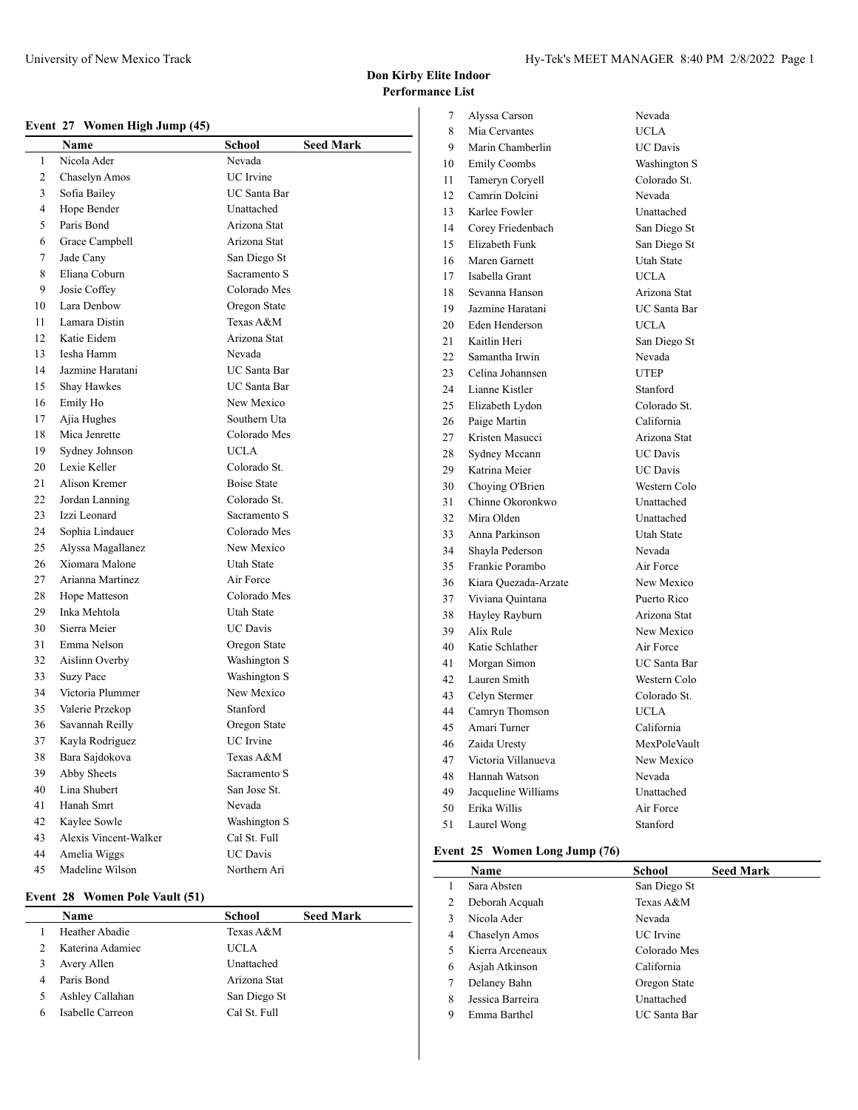## **Event 27 Women High Jump (45)**

|    | Name                  | <b>School</b>      | <b>Seed Mark</b> |
|----|-----------------------|--------------------|------------------|
| 1  | Nicola Ader           | Nevada             |                  |
| 2  | Chaselyn Amos         | UC Irvine          |                  |
| 3  | Sofia Bailey          | UC Santa Bar       |                  |
| 4  | Hope Bender           | Unattached         |                  |
| 5  | Paris Bond            | Arizona Stat       |                  |
| 6  | Grace Campbell        | Arizona Stat       |                  |
| 7  | Jade Cany             | San Diego St       |                  |
| 8  | Eliana Coburn         | Sacramento S       |                  |
| 9  | Josie Coffey          | Colorado Mes       |                  |
| 10 | Lara Denbow           | Oregon State       |                  |
| 11 | Lamara Distin         | Texas A&M          |                  |
| 12 | Katie Eidem           | Arizona Stat       |                  |
| 13 | Iesha Hamm            | Nevada             |                  |
| 14 | Jazmine Haratani      | UC Santa Bar       |                  |
| 15 | Shay Hawkes           | UC Santa Bar       |                  |
| 16 | Emily Ho              | New Mexico         |                  |
| 17 | Ajia Hughes           | Southern Uta       |                  |
| 18 | Mica Jenrette         | Colorado Mes       |                  |
| 19 | Sydney Johnson        | UCLA               |                  |
| 20 | Lexie Keller          | Colorado St.       |                  |
| 21 | Alison Kremer         | <b>Boise State</b> |                  |
| 22 | Jordan Lanning        | Colorado St.       |                  |
| 23 | Izzi Leonard          | Sacramento S       |                  |
| 24 | Sophia Lindauer       | Colorado Mes       |                  |
| 25 | Alyssa Magallanez     | New Mexico         |                  |
| 26 | Xiomara Malone        | Utah State         |                  |
| 27 | Arianna Martinez      | Air Force          |                  |
| 28 | Hope Matteson         | Colorado Mes       |                  |
| 29 | Inka Mehtola          | Utah State         |                  |
| 30 | Sierra Meier          | <b>UC Davis</b>    |                  |
| 31 | Emma Nelson           | Oregon State       |                  |
| 32 | Aislinn Overby        | Washington S       |                  |
| 33 | <b>Suzy Pace</b>      | Washington S       |                  |
| 34 | Victoria Plummer      | New Mexico         |                  |
| 35 | Valerie Przekop       | Stanford           |                  |
| 36 | Savannah Reilly       | Oregon State       |                  |
| 37 | Kayla Rodriguez       | UC Irvine          |                  |
| 38 | Bara Sajdokova        | Texas A&M          |                  |
| 39 | Abby Sheets           | Sacramento S       |                  |
| 40 | Lina Shubert          | San Jose St.       |                  |
| 41 | Hanah Smrt            | Nevada             |                  |
| 42 | Kaylee Sowle          | Washington S       |                  |
| 43 | Alexis Vincent-Walker | Cal St. Full       |                  |
| 44 | Amelia Wiggs          | <b>UC</b> Davis    |                  |
| 45 | Madeline Wilson       | Northern Ari       |                  |

## **Event 28 Women Pole Vault (51)**

|   | Name             | <b>School</b> | <b>Seed Mark</b> |
|---|------------------|---------------|------------------|
|   | Heather Abadie   | Texas A&M     |                  |
|   | Katerina Adamiec | <b>UCLA</b>   |                  |
|   | Avery Allen      | Unattached    |                  |
| 4 | Paris Bond       | Arizona Stat  |                  |
|   | Ashley Callahan  | San Diego St  |                  |
|   | Isabelle Carreon | Cal St. Full  |                  |

| 7  | Alyssa Carson         | Nevada              |
|----|-----------------------|---------------------|
| 8  | Mia Cervantes         | <b>UCLA</b>         |
| 9  | Marin Chamberlin      | <b>UC</b> Davis     |
| 10 | <b>Emily Coombs</b>   | Washington S        |
| 11 | Tameryn Coryell       | Colorado St.        |
| 12 | Camrin Dolcini        | Nevada              |
| 13 | Karlee Fowler         | Unattached          |
| 14 | Corey Friedenbach     | San Diego St        |
| 15 | <b>Elizabeth Funk</b> | San Diego St        |
| 16 | Maren Garnett         | <b>Utah State</b>   |
| 17 | Isabella Grant        | <b>UCLA</b>         |
| 18 | Sevanna Hanson        | Arizona Stat        |
| 19 | Jazmine Haratani      | UC Santa Bar        |
| 20 | Eden Henderson        | <b>UCLA</b>         |
| 21 | Kaitlin Heri          | San Diego St        |
| 22 | Samantha Irwin        | Nevada              |
| 23 | Celina Johannsen      | <b>UTEP</b>         |
| 24 | Lianne Kistler        | Stanford            |
| 25 | Elizabeth Lydon       | Colorado St.        |
| 26 | Paige Martin          | California          |
| 27 | Kristen Masucci       | Arizona Stat        |
| 28 | Sydney Mccann         | <b>UC</b> Davis     |
| 29 | Katrina Meier         | <b>UC</b> Davis     |
| 30 | Choying O'Brien       | Western Colo        |
| 31 | Chinne Okoronkwo      | Unattached          |
| 32 | Mira Olden            | Unattached          |
| 33 | Anna Parkinson        | <b>Utah State</b>   |
| 34 | Shayla Pederson       | Nevada              |
| 35 | Frankie Porambo       | Air Force           |
| 36 | Kiara Quezada-Arzate  | New Mexico          |
| 37 | Viviana Quintana      | Puerto Rico         |
| 38 | Hayley Rayburn        | Arizona Stat        |
| 39 | Alix Rule             | New Mexico          |
| 40 | Katie Schlather       | Air Force           |
| 41 | Morgan Simon          | <b>UC</b> Santa Bar |
| 42 | Lauren Smith          | Western Colo        |
| 43 | Celyn Stermer         | Colorado St.        |
| 44 | Camryn Thomson        | <b>UCLA</b>         |
| 45 | Amari Turner          | California          |
| 46 | Zaida Uresty          | MexPoleVault        |
| 47 | Victoria Villanueva   | New Mexico          |
| 48 | Hannah Watson         | Nevada              |
| 49 | Jacqueline Williams   | Unattached          |
| 50 | Erika Willis          | Air Force           |
| 51 | Laurel Wong           | Stanford            |

#### **Event 25 Women Long Jump (76)**

|   | <b>Name</b>      | School       | <b>Seed Mark</b> |
|---|------------------|--------------|------------------|
|   | Sara Absten      | San Diego St |                  |
| 2 | Deborah Acquah   | Texas A&M    |                  |
| 3 | Nicola Ader      | Nevada       |                  |
| 4 | Chaselyn Amos    | UC Irvine    |                  |
| 5 | Kierra Arceneaux | Colorado Mes |                  |
| 6 | Asjah Atkinson   | California   |                  |
| 7 | Delaney Bahn     | Oregon State |                  |
| 8 | Jessica Barreira | Unattached   |                  |
| 9 | Emma Barthel     | UC Santa Bar |                  |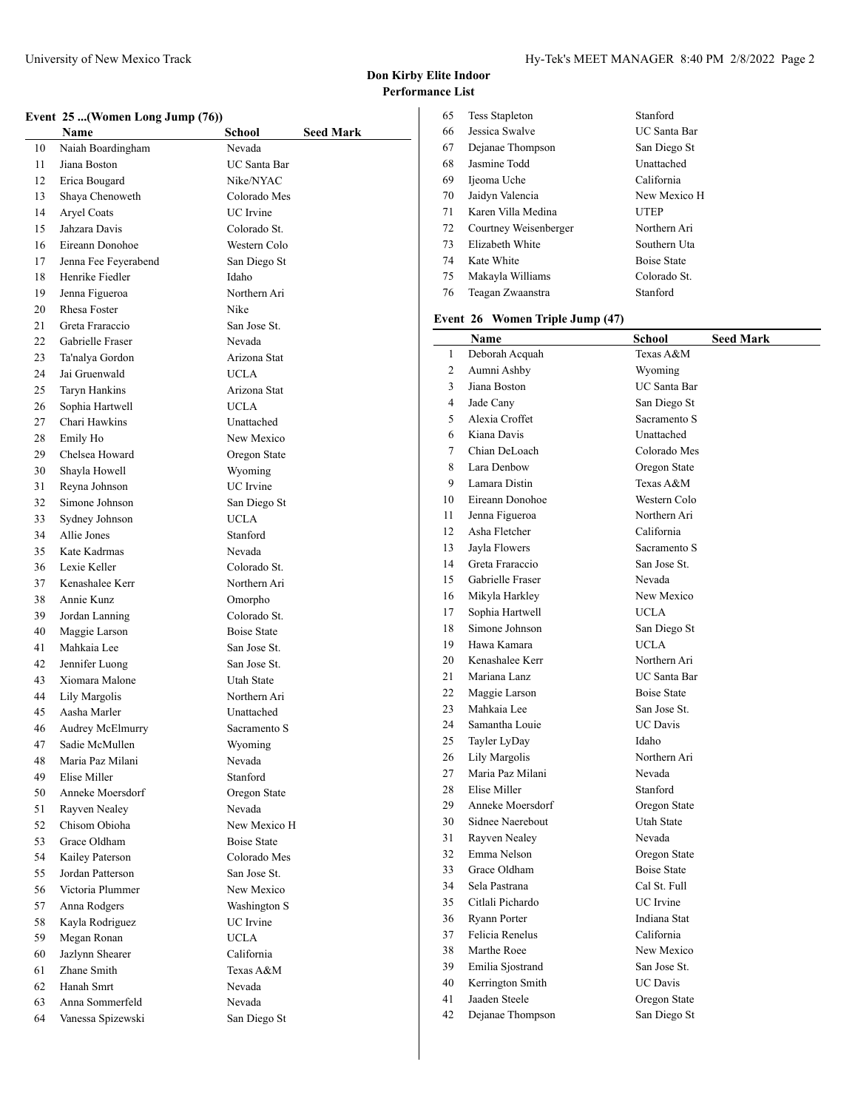$\overline{1}$ 

## **Event 25 ...(Women Long Jump (76))**

|    | еvенс <i>25</i> ( women Long Jump (70 <i>))</i> |                            |
|----|-------------------------------------------------|----------------------------|
|    | Name                                            | School<br><b>Seed Mark</b> |
| 10 | Naiah Boardingham                               | Nevada                     |
| 11 | Jiana Boston                                    | <b>UC</b> Santa Bar        |
| 12 | Erica Bougard                                   | Nike/NYAC                  |
| 13 | Shaya Chenoweth                                 | Colorado Mes               |
| 14 | Aryel Coats                                     | UC Irvine                  |
| 15 | Jahzara Davis                                   | Colorado St.               |
| 16 | Eireann Donohoe                                 | Western Colo               |
| 17 | Jenna Fee Feyerabend                            | San Diego St               |
| 18 | Henrike Fiedler                                 | Idaho                      |
| 19 | Jenna Figueroa                                  | Northern Ari               |
| 20 | <b>Rhesa Foster</b>                             | Nike                       |
| 21 | Greta Fraraccio                                 | F<br>San Jose St.          |
| 22 | Gabrielle Fraser                                | Nevada                     |
| 23 | Ta'nalya Gordon                                 | Arizona Stat               |
| 24 | Jai Gruenwald                                   | <b>UCLA</b>                |
| 25 | <b>Taryn Hankins</b>                            | Arizona Stat               |
| 26 | Sophia Hartwell                                 | <b>UCLA</b>                |
| 27 | Chari Hawkins                                   | Unattached                 |
| 28 | Emily Ho                                        | New Mexico                 |
| 29 | Chelsea Howard                                  | Oregon State               |
| 30 | Shayla Howell                                   | Wyoming                    |
| 31 | Reyna Johnson                                   | <b>UC</b> Irvine           |
| 32 | Simone Johnson                                  | San Diego St               |
| 33 | Sydney Johnson                                  | <b>UCLA</b>                |
| 34 | Allie Jones                                     | Stanford                   |
| 35 | Kate Kadrmas                                    | Nevada                     |
| 36 | Lexie Keller                                    | Colorado St.               |
| 37 | Kenashalee Kerr                                 | Northern Ari               |
| 38 | Annie Kunz                                      | Omorpho                    |
| 39 | Jordan Lanning                                  | Colorado St.               |
| 40 | Maggie Larson                                   | <b>Boise State</b>         |
| 41 | Mahkaia Lee                                     | San Jose St.               |
| 42 | Jennifer Luong                                  | San Jose St.               |
| 43 | Xiomara Malone                                  | Utah State                 |
| 44 | Lily Margolis                                   | Northern Ari               |
| 45 | Aasha Marler                                    | Unattached                 |
| 46 | Audrey McElmurry                                | Sacramento S               |
| 47 | Sadie McMullen                                  | Wyoming                    |
| 48 | Maria Paz Milani                                | Nevada                     |
| 49 | Elise Miller                                    | Stanford                   |
| 50 | Anneke Moersdorf                                | Oregon State               |
| 51 | Rayven Nealey                                   | Nevada                     |
| 52 | Chisom Obioha                                   | New Mexico H               |
| 53 | Grace Oldham                                    | <b>Boise State</b>         |
| 54 | Kailey Paterson                                 | Colorado Mes               |
| 55 | Jordan Patterson                                | San Jose St.               |
| 56 | Victoria Plummer                                | New Mexico                 |
| 57 | Anna Rodgers                                    | Washington S               |
| 58 | Kayla Rodriguez                                 | UC Irvine                  |
| 59 | Megan Ronan                                     | <b>UCLA</b>                |
| 60 | Jazlynn Shearer                                 | California                 |
| 61 | Zhane Smith                                     | Texas A&M                  |
| 62 | Hanah Smrt                                      | Nevada                     |
| 63 | Anna Sommerfeld                                 | Nevada                     |
| 64 | Vanessa Spizewski                               | San Diego St               |

| 65 | <b>Tess Stapleton</b> | Stanford           |
|----|-----------------------|--------------------|
| 66 | Jessica Swalve        | UC Santa Bar       |
| 67 | Dejanae Thompson      | San Diego St       |
| 68 | Jasmine Todd          | Unattached         |
| 69 | Ijeoma Uche           | California         |
| 70 | Jaidyn Valencia       | New Mexico H       |
| 71 | Karen Villa Medina    | <b>UTEP</b>        |
| 72 | Courtney Weisenberger | Northern Ari       |
| 73 | Elizabeth White       | Southern Uta       |
| 74 | Kate White            | <b>Boise State</b> |
| 75 | Makayla Williams      | Colorado St.       |
| 76 | Teagan Zwaanstra      | Stanford           |
|    |                       |                    |

## **Event 26 Women Triple Jump (47)**

|                | Name                | School              | <b>Seed Mark</b> |
|----------------|---------------------|---------------------|------------------|
| $\mathbf{1}$   | Deborah Acquah      | Texas A&M           |                  |
| $\overline{c}$ | Aumni Ashby         | Wyoming             |                  |
| 3              | Jiana Boston        | <b>UC</b> Santa Bar |                  |
| 4              | Jade Cany           | San Diego St        |                  |
| 5              | Alexia Croffet      | Sacramento S        |                  |
| 6              | Kiana Davis         | Unattached          |                  |
| 7              | Chian DeLoach       | Colorado Mes        |                  |
| 8              | Lara Denbow         | Oregon State        |                  |
| 9              | Lamara Distin       | Texas A&M           |                  |
| 10             | Eireann Donohoe     | Western Colo        |                  |
| 11             | Jenna Figueroa      | Northern Ari        |                  |
| 12             | Asha Fletcher       | California          |                  |
| 13             | Jayla Flowers       | Sacramento S        |                  |
| 14             | Greta Fraraccio     | San Jose St.        |                  |
| 15             | Gabrielle Fraser    | Nevada              |                  |
| 16             | Mikyla Harkley      | New Mexico          |                  |
| 17             | Sophia Hartwell     | <b>UCLA</b>         |                  |
| 18             | Simone Johnson      | San Diego St        |                  |
| 19             | Hawa Kamara         | <b>UCLA</b>         |                  |
| 20             | Kenashalee Kerr     | Northern Ari        |                  |
| 21             | Mariana Lanz        | UC Santa Bar        |                  |
| 22             | Maggie Larson       | <b>Boise State</b>  |                  |
| 23             | Mahkaia Lee         | San Jose St.        |                  |
| 24             | Samantha Louie      | <b>UC</b> Davis     |                  |
| 25             | Tayler LyDay        | Idaho               |                  |
| 26             | Lily Margolis       | Northern Ari        |                  |
| 27             | Maria Paz Milani    | Nevada              |                  |
| 28             | Elise Miller        | Stanford            |                  |
| 29             | Anneke Moersdorf    | Oregon State        |                  |
| 30             | Sidnee Naerebout    | <b>Utah State</b>   |                  |
| 31             | Rayven Nealey       | Nevada              |                  |
| 32             | Emma Nelson         | Oregon State        |                  |
| 33             | Grace Oldham        | <b>Boise State</b>  |                  |
| 34             | Sela Pastrana       | Cal St. Full        |                  |
| 35             | Citlali Pichardo    | <b>UC</b> Irvine    |                  |
| 36             | <b>Ryann Porter</b> | Indiana Stat        |                  |
| 37             | Felicia Renelus     | California          |                  |
| 38             | Marthe Roee         | New Mexico          |                  |
| 39             | Emilia Sjostrand    | San Jose St.        |                  |
| 40             | Kerrington Smith    | <b>UC</b> Davis     |                  |
| 41             | Jaaden Steele       | Oregon State        |                  |
| 42             | Dejanae Thompson    | San Diego St        |                  |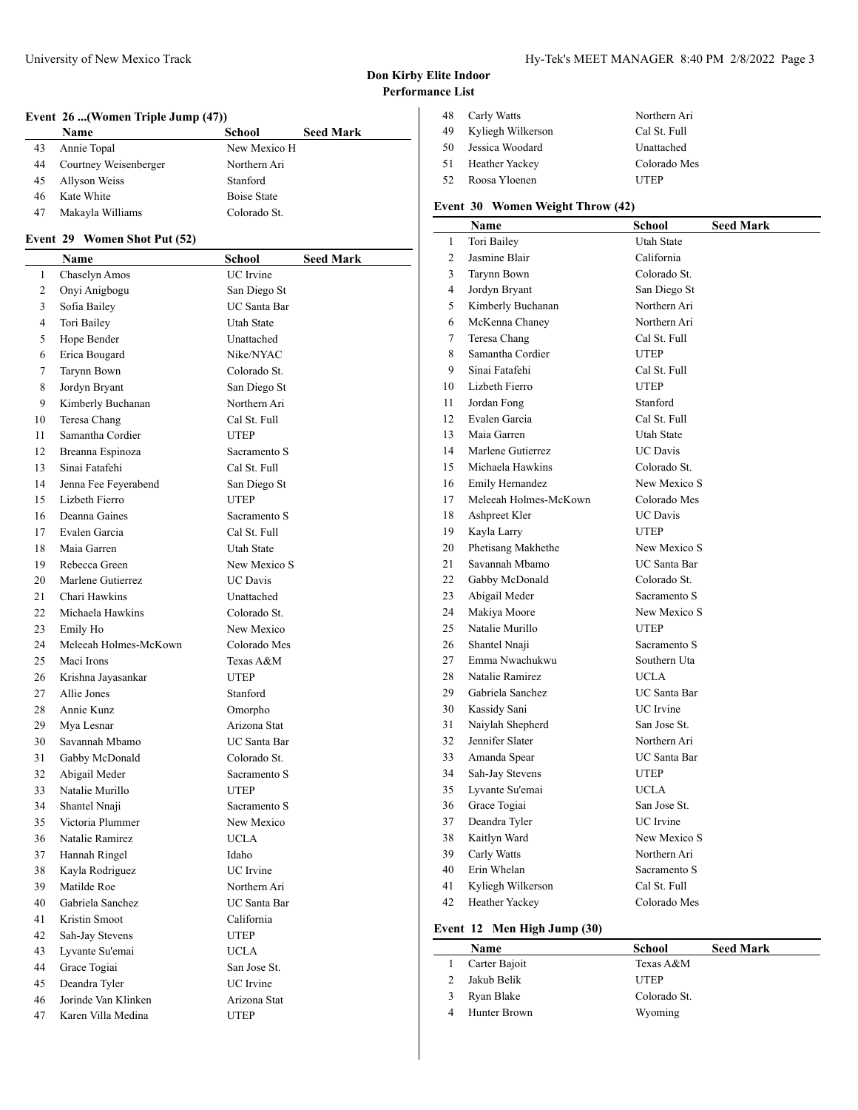## **Event 26 ...(Women Triple Jump (47))**

|    | <b>Name</b>           | School       | <b>Seed Mark</b> |
|----|-----------------------|--------------|------------------|
| 43 | Annie Topal           | New Mexico H |                  |
| 44 | Courtney Weisenberger | Northern Ari |                  |
| 45 | Allyson Weiss         | Stanford     |                  |
| 46 | Kate White            | Boise State  |                  |
| 47 | Makayla Williams      | Colorado St. |                  |

## **Event 29 Women Shot Put (52)**

|    | Name                  | School                       | <b>Seed Mark</b> |
|----|-----------------------|------------------------------|------------------|
| 1  | Chaselyn Amos         | <b>UC</b> Irvine             |                  |
| 2  | Onyi Anigbogu         | San Diego St                 |                  |
| 3  | Sofia Bailey          | UC Santa Bar                 |                  |
| 4  | Tori Bailey           | Utah State                   |                  |
| 5  | Hope Bender           | Unattached                   |                  |
| 6  | Erica Bougard         | Nike/NYAC                    |                  |
| 7  | Tarynn Bown           | Colorado St.                 |                  |
| 8  | Jordyn Bryant         | San Diego St                 |                  |
| 9  | Kimberly Buchanan     | Northern Ari                 |                  |
| 10 | Teresa Chang          | Cal St. Full                 |                  |
| 11 | Samantha Cordier      | <b>UTEP</b>                  |                  |
| 12 | Breanna Espinoza      | Sacramento S                 |                  |
| 13 | Sinai Fatafehi        | Cal St. Full                 |                  |
| 14 | Jenna Fee Feyerabend  | San Diego St                 |                  |
| 15 | Lizbeth Fierro        | <b>UTEP</b>                  |                  |
| 16 | Deanna Gaines         | Sacramento S                 |                  |
| 17 | Evalen Garcia         | Cal St. Full                 |                  |
| 18 | Maia Garren           | Utah State                   |                  |
| 19 | Rebecca Green         | New Mexico S                 |                  |
| 20 | Marlene Gutierrez     | <b>UC</b> Davis              |                  |
| 21 | Chari Hawkins         | Unattached                   |                  |
| 22 | Michaela Hawkins      | Colorado St.                 |                  |
| 23 | Emily Ho              | New Mexico                   |                  |
| 24 | Meleeah Holmes-McKown | Colorado Mes                 |                  |
| 25 | Maci Irons            | Texas A&M                    |                  |
| 26 | Krishna Jayasankar    | UTEP                         |                  |
| 27 | Allie Jones           | Stanford                     |                  |
| 28 | Annie Kunz            | Omorpho                      |                  |
| 29 | Mya Lesnar            | Arizona Stat                 |                  |
| 30 | Savannah Mbamo        | UC Santa Bar                 |                  |
| 31 | Gabby McDonald        | Colorado St.                 |                  |
| 32 | Abigail Meder         | Sacramento S                 |                  |
| 33 | Natalie Murillo       | <b>UTEP</b>                  |                  |
| 34 | Shantel Nnaji         | Sacramento S                 |                  |
| 35 | Victoria Plummer      | New Mexico                   |                  |
| 36 | Natalie Ramirez       | <b>UCLA</b>                  |                  |
| 37 | Hannah Ringel         | Idaho                        |                  |
| 38 | Kayla Rodriguez       | UC Irvine                    |                  |
| 39 | Matilde Roe           |                              |                  |
| 40 | Gabriela Sanchez      | Northern Ari<br>UC Santa Bar |                  |
| 41 | Kristin Smoot         | California                   |                  |
| 42 | Sah-Jay Stevens       |                              |                  |
| 43 | Lyvante Su'emai       | UTEP                         |                  |
| 44 |                       | UCLA                         |                  |
|    | Grace Togiai          | San Jose St.                 |                  |
| 45 | Deandra Tyler         | UC Irvine                    |                  |
| 46 | Jorinde Van Klinken   | Arizona Stat                 |                  |
| 47 | Karen Villa Medina    | <b>UTEP</b>                  |                  |

| 48  | Carly Watts       | Northern Ari |
|-----|-------------------|--------------|
| 49  | Kyliegh Wilkerson | Cal St. Full |
| 50  | Jessica Woodard   | Unattached   |
| 51  | Heather Yackey    | Colorado Mes |
| 52. | Roosa Yloenen     | <b>UTEP</b>  |

## **Event 30 Women Weight Throw (42)**

|                | Name                  | School              | <b>Seed Mark</b> |
|----------------|-----------------------|---------------------|------------------|
| $\mathbf{1}$   | Tori Bailey           | <b>Utah State</b>   |                  |
| 2              | Jasmine Blair         | California          |                  |
| 3              | Tarynn Bown           | Colorado St.        |                  |
| $\overline{4}$ | Jordyn Bryant         | San Diego St        |                  |
| 5              | Kimberly Buchanan     | Northern Ari        |                  |
| 6              | McKenna Chaney        | Northern Ari        |                  |
| 7              | Teresa Chang          | Cal St. Full        |                  |
| 8              | Samantha Cordier      | <b>UTEP</b>         |                  |
| 9              | Sinai Fatafehi        | Cal St. Full        |                  |
| 10             | Lizbeth Fierro        | <b>UTEP</b>         |                  |
| 11             | Jordan Fong           | Stanford            |                  |
| 12             | Evalen Garcia         | Cal St. Full        |                  |
| 13             | Maia Garren           | <b>Utah State</b>   |                  |
| 14             | Marlene Gutierrez     | <b>UC</b> Davis     |                  |
| 15             | Michaela Hawkins      | Colorado St.        |                  |
| 16             | Emily Hernandez       | New Mexico S        |                  |
| 17             | Meleeah Holmes-McKown | Colorado Mes        |                  |
| 18             | Ashpreet Kler         | <b>UC</b> Davis     |                  |
| 19             | Kayla Larry           | <b>UTEP</b>         |                  |
| 20             | Phetisang Makhethe    | New Mexico S        |                  |
| 21             | Savannah Mbamo        | <b>UC</b> Santa Bar |                  |
| 22             | Gabby McDonald        | Colorado St.        |                  |
| 23             | Abigail Meder         | Sacramento S        |                  |
| 24             | Makiya Moore          | New Mexico S        |                  |
| 25             | Natalie Murillo       | <b>UTEP</b>         |                  |
| 26             | Shantel Nnaji         | Sacramento S        |                  |
| 27             | Emma Nwachukwu        | Southern Uta        |                  |
| 28             | Natalie Ramirez       | <b>UCLA</b>         |                  |
| 29             | Gabriela Sanchez      | <b>UC</b> Santa Bar |                  |
| 30             | Kassidy Sani          | <b>UC</b> Irvine    |                  |
| 31             | Naiylah Shepherd      | San Jose St.        |                  |
| 32             | Jennifer Slater       | Northern Ari        |                  |
| 33             | Amanda Spear          | UC Santa Bar        |                  |
| 34             | Sah-Jay Stevens       | <b>UTEP</b>         |                  |
| 35             | Lyvante Su'emai       | <b>UCLA</b>         |                  |
| 36             | Grace Togiai          | San Jose St.        |                  |
| 37             | Deandra Tyler         | UC Irvine           |                  |
| 38             | Kaitlyn Ward          | New Mexico S        |                  |
| 39             | Carly Watts           | Northern Ari        |                  |
| 40             | Erin Whelan           | Sacramento S        |                  |
| 41             | Kyliegh Wilkerson     | Cal St. Full        |                  |
| 42             | Heather Yackey        | Colorado Mes        |                  |

# **Event 12 Men High Jump (30)**

| Name          | School       | <b>Seed Mark</b> |
|---------------|--------------|------------------|
| Carter Bajoit | Texas A&M    |                  |
| Jakub Belik   | <b>UTEP</b>  |                  |
| Ryan Blake    | Colorado St. |                  |
| Hunter Brown  | Wyoming      |                  |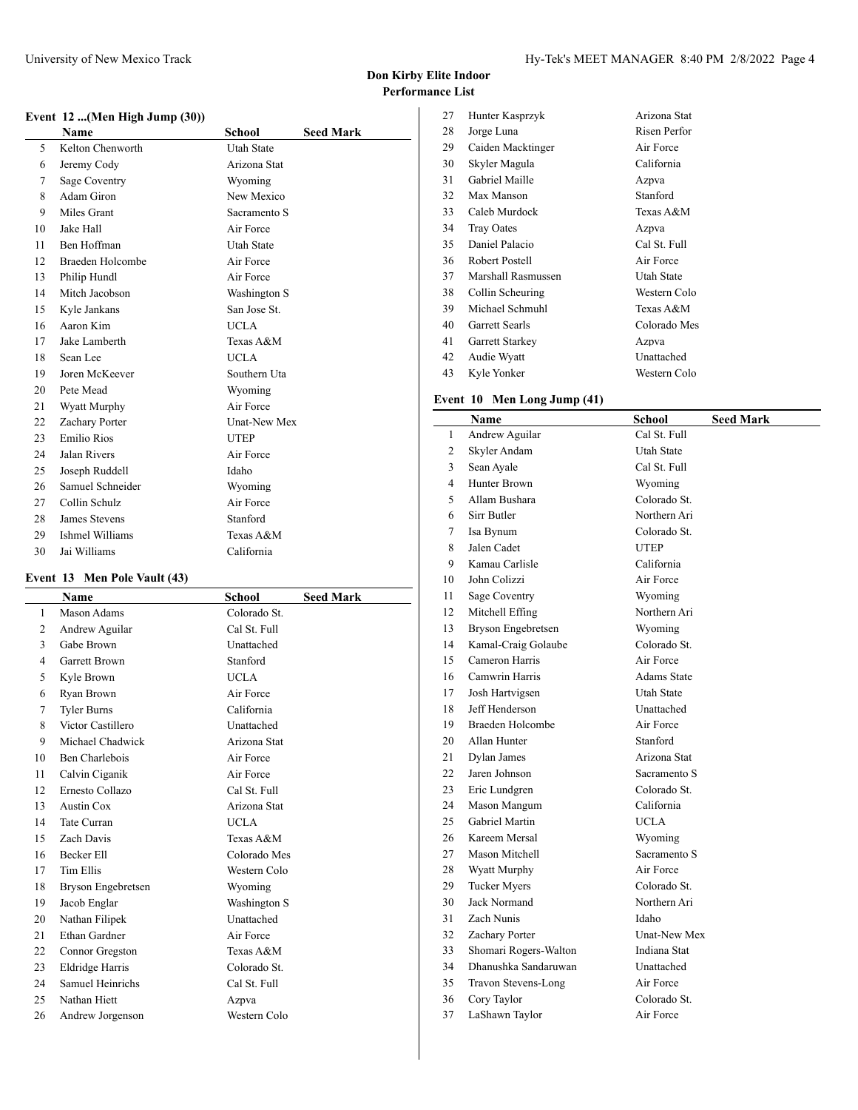## **Event 12 ...(Men High Jump (30))**

|    | вусис 12 …, вдеся нідн банр (50 <i>))</i> |                     |                  |
|----|-------------------------------------------|---------------------|------------------|
|    | <b>Name</b>                               | <b>School</b>       | <b>Seed Mark</b> |
| 5  | Kelton Chenworth                          | <b>Utah State</b>   |                  |
| 6  | Jeremy Cody                               | Arizona Stat        |                  |
| 7  | Sage Coventry                             | Wyoming             |                  |
| 8  | Adam Giron                                | New Mexico          |                  |
| 9  | Miles Grant                               | Sacramento S        |                  |
| 10 | Jake Hall                                 | Air Force           |                  |
| 11 | Ben Hoffman                               | <b>Utah State</b>   |                  |
| 12 | Braeden Holcombe                          | Air Force           |                  |
| 13 | Philip Hundl                              | Air Force           |                  |
| 14 | Mitch Jacobson                            | Washington S        |                  |
| 15 | Kyle Jankans                              | San Jose St.        |                  |
| 16 | Aaron Kim                                 | <b>UCLA</b>         |                  |
| 17 | Jake Lamberth                             | Texas A&M           |                  |
| 18 | Sean Lee                                  | <b>UCLA</b>         |                  |
| 19 | Joren McKeever                            | Southern Uta        |                  |
| 20 | Pete Mead                                 | Wyoming             |                  |
| 21 | Wyatt Murphy                              | Air Force           |                  |
| 22 | Zachary Porter                            | <b>Unat-New Mex</b> |                  |
| 23 | Emilio Rios                               | <b>UTEP</b>         |                  |
| 24 | Jalan Rivers                              | Air Force           |                  |
| 25 | Joseph Ruddell                            | Idaho               |                  |
| 26 | Samuel Schneider                          | Wyoming             |                  |
| 27 | Collin Schulz                             | Air Force           |                  |
| 28 | James Stevens                             | Stanford            |                  |
| 29 | Ishmel Williams                           | Texas A&M           |                  |
| 30 | Jai Williams                              | California          |                  |

## **Event 13 Men Pole Vault (43)**

|                 | Name                 | School       | <b>Seed Mark</b> |
|-----------------|----------------------|--------------|------------------|
| 1               | Mason Adams          | Colorado St. |                  |
| 2               | Andrew Aguilar       | Cal St. Full |                  |
| 3               | Gabe Brown           | Unattached   |                  |
| 4               | <b>Garrett Brown</b> | Stanford     |                  |
| 5               | Kyle Brown           | <b>UCLA</b>  |                  |
| 6               | Ryan Brown           | Air Force    |                  |
| 7               | <b>Tyler Burns</b>   | California   |                  |
| 8               | Victor Castillero    | Unattached   |                  |
| 9               | Michael Chadwick     | Arizona Stat |                  |
| 10              | Ben Charlebois       | Air Force    |                  |
| 11              | Calvin Ciganik       | Air Force    |                  |
| 12 <sub>1</sub> | Ernesto Collazo      | Cal St. Full |                  |
| 13              | <b>Austin Cox</b>    | Arizona Stat |                  |
| 14              | Tate Curran          | <b>UCLA</b>  |                  |
| 15              | Zach Davis           | Texas A&M    |                  |
| 16              | Becker Ell           | Colorado Mes |                  |
| 17              | <b>Tim Ellis</b>     | Western Colo |                  |
| 18              | Bryson Engebretsen   | Wyoming      |                  |
| 19              | Jacob Englar         | Washington S |                  |
| 20              | Nathan Filipek       | Unattached   |                  |
| 21              | Ethan Gardner        | Air Force    |                  |
| 22              | Connor Gregston      | Texas A&M    |                  |
| 23              | Eldridge Harris      | Colorado St. |                  |
| 24              | Samuel Heinrichs     | Cal St. Full |                  |
| 25              | Nathan Hiett         | Azpva        |                  |
| 26              | Andrew Jorgenson     | Western Colo |                  |

| 27 | Hunter Kasprzyk    | Arizona Stat |
|----|--------------------|--------------|
| 28 | Jorge Luna         | Risen Perfor |
| 29 | Caiden Macktinger  | Air Force    |
| 30 | Skyler Magula      | California   |
| 31 | Gabriel Maille     | Azpva        |
| 32 | Max Manson         | Stanford     |
| 33 | Caleb Murdock      | Texas A&M    |
| 34 | <b>Tray Oates</b>  | Azpva        |
| 35 | Daniel Palacio     | Cal St. Full |
| 36 | Robert Postell     | Air Force    |
| 37 | Marshall Rasmussen | Utah State   |
| 38 | Collin Scheuring   | Western Colo |
| 39 | Michael Schmuhl    | Texas A&M    |
| 40 | Garrett Searls     | Colorado Mes |
| 41 | Garrett Starkey    | Azpva        |
| 42 | Audie Wyatt        | Unattached   |
| 43 | Kyle Yonker        | Western Colo |

# **Event 10 Men Long Jump (41)**

| Andrew Aguilar<br>Cal St. Full<br>$\mathbf{1}$<br>$\overline{c}$<br>Skyler Andam<br>Utah State<br>3<br>Sean Ayale<br>Cal St. Full<br>$\overline{4}$<br>Hunter Brown<br>Wyoming<br>5<br>Allam Bushara<br>Colorado St.<br>6<br>Sirr Butler<br>Northern Ari<br>7<br>Isa Bynum<br>Colorado St.<br>Jalen Cadet<br>8<br><b>UTEP</b><br>Kamau Carlisle<br>9<br>California<br>John Colizzi<br>Air Force<br>10<br>Sage Coventry<br>11<br>Wyoming<br>12<br>Mitchell Effing<br>Northern Ari<br>13<br>Bryson Engebretsen<br>Wyoming<br>14<br>Kamal-Craig Golaube<br>Colorado St.<br>15<br>Cameron Harris<br>Air Force<br>Camwrin Harris<br>16<br><b>Adams State</b><br>17<br>Josh Hartvigsen<br>Utah State<br>18<br>Jeff Henderson<br>Unattached<br>19<br>Braeden Holcombe<br>Air Force<br>20<br>Allan Hunter<br>Stanford<br>21<br>Dylan James<br>Arizona Stat<br>22<br>Jaren Johnson<br>Sacramento S<br>23<br>Eric Lundgren<br>Colorado St.<br>24<br>Mason Mangum<br>California<br>25<br>Gabriel Martin<br>UCLA-<br>26<br>Kareem Mersal<br>Wyoming<br>27<br>Mason Mitchell<br>Sacramento S<br>28<br>Wyatt Murphy<br>Air Force<br>29<br><b>Tucker Myers</b><br>Colorado St.<br>30<br>Jack Normand<br>Northern Ari<br>Zach Nunis<br>31<br>Idaho<br>32<br>Zachary Porter<br>Unat-New Mex<br>33<br>Shomari Rogers-Walton<br>Indiana Stat<br>Dhanushka Sandaruwan<br>34<br>Unattached<br>Air Force<br>35<br>Travon Stevens-Long<br>Colorado St.<br>36<br>Cory Taylor<br>37<br>LaShawn Taylor<br>Air Force | Name | <b>School</b> | <b>Seed Mark</b> |
|-------------------------------------------------------------------------------------------------------------------------------------------------------------------------------------------------------------------------------------------------------------------------------------------------------------------------------------------------------------------------------------------------------------------------------------------------------------------------------------------------------------------------------------------------------------------------------------------------------------------------------------------------------------------------------------------------------------------------------------------------------------------------------------------------------------------------------------------------------------------------------------------------------------------------------------------------------------------------------------------------------------------------------------------------------------------------------------------------------------------------------------------------------------------------------------------------------------------------------------------------------------------------------------------------------------------------------------------------------------------------------------------------------------------------------------------------------------------------------------------|------|---------------|------------------|
|                                                                                                                                                                                                                                                                                                                                                                                                                                                                                                                                                                                                                                                                                                                                                                                                                                                                                                                                                                                                                                                                                                                                                                                                                                                                                                                                                                                                                                                                                           |      |               |                  |
|                                                                                                                                                                                                                                                                                                                                                                                                                                                                                                                                                                                                                                                                                                                                                                                                                                                                                                                                                                                                                                                                                                                                                                                                                                                                                                                                                                                                                                                                                           |      |               |                  |
|                                                                                                                                                                                                                                                                                                                                                                                                                                                                                                                                                                                                                                                                                                                                                                                                                                                                                                                                                                                                                                                                                                                                                                                                                                                                                                                                                                                                                                                                                           |      |               |                  |
|                                                                                                                                                                                                                                                                                                                                                                                                                                                                                                                                                                                                                                                                                                                                                                                                                                                                                                                                                                                                                                                                                                                                                                                                                                                                                                                                                                                                                                                                                           |      |               |                  |
|                                                                                                                                                                                                                                                                                                                                                                                                                                                                                                                                                                                                                                                                                                                                                                                                                                                                                                                                                                                                                                                                                                                                                                                                                                                                                                                                                                                                                                                                                           |      |               |                  |
|                                                                                                                                                                                                                                                                                                                                                                                                                                                                                                                                                                                                                                                                                                                                                                                                                                                                                                                                                                                                                                                                                                                                                                                                                                                                                                                                                                                                                                                                                           |      |               |                  |
|                                                                                                                                                                                                                                                                                                                                                                                                                                                                                                                                                                                                                                                                                                                                                                                                                                                                                                                                                                                                                                                                                                                                                                                                                                                                                                                                                                                                                                                                                           |      |               |                  |
|                                                                                                                                                                                                                                                                                                                                                                                                                                                                                                                                                                                                                                                                                                                                                                                                                                                                                                                                                                                                                                                                                                                                                                                                                                                                                                                                                                                                                                                                                           |      |               |                  |
|                                                                                                                                                                                                                                                                                                                                                                                                                                                                                                                                                                                                                                                                                                                                                                                                                                                                                                                                                                                                                                                                                                                                                                                                                                                                                                                                                                                                                                                                                           |      |               |                  |
|                                                                                                                                                                                                                                                                                                                                                                                                                                                                                                                                                                                                                                                                                                                                                                                                                                                                                                                                                                                                                                                                                                                                                                                                                                                                                                                                                                                                                                                                                           |      |               |                  |
|                                                                                                                                                                                                                                                                                                                                                                                                                                                                                                                                                                                                                                                                                                                                                                                                                                                                                                                                                                                                                                                                                                                                                                                                                                                                                                                                                                                                                                                                                           |      |               |                  |
|                                                                                                                                                                                                                                                                                                                                                                                                                                                                                                                                                                                                                                                                                                                                                                                                                                                                                                                                                                                                                                                                                                                                                                                                                                                                                                                                                                                                                                                                                           |      |               |                  |
|                                                                                                                                                                                                                                                                                                                                                                                                                                                                                                                                                                                                                                                                                                                                                                                                                                                                                                                                                                                                                                                                                                                                                                                                                                                                                                                                                                                                                                                                                           |      |               |                  |
|                                                                                                                                                                                                                                                                                                                                                                                                                                                                                                                                                                                                                                                                                                                                                                                                                                                                                                                                                                                                                                                                                                                                                                                                                                                                                                                                                                                                                                                                                           |      |               |                  |
|                                                                                                                                                                                                                                                                                                                                                                                                                                                                                                                                                                                                                                                                                                                                                                                                                                                                                                                                                                                                                                                                                                                                                                                                                                                                                                                                                                                                                                                                                           |      |               |                  |
|                                                                                                                                                                                                                                                                                                                                                                                                                                                                                                                                                                                                                                                                                                                                                                                                                                                                                                                                                                                                                                                                                                                                                                                                                                                                                                                                                                                                                                                                                           |      |               |                  |
|                                                                                                                                                                                                                                                                                                                                                                                                                                                                                                                                                                                                                                                                                                                                                                                                                                                                                                                                                                                                                                                                                                                                                                                                                                                                                                                                                                                                                                                                                           |      |               |                  |
|                                                                                                                                                                                                                                                                                                                                                                                                                                                                                                                                                                                                                                                                                                                                                                                                                                                                                                                                                                                                                                                                                                                                                                                                                                                                                                                                                                                                                                                                                           |      |               |                  |
|                                                                                                                                                                                                                                                                                                                                                                                                                                                                                                                                                                                                                                                                                                                                                                                                                                                                                                                                                                                                                                                                                                                                                                                                                                                                                                                                                                                                                                                                                           |      |               |                  |
|                                                                                                                                                                                                                                                                                                                                                                                                                                                                                                                                                                                                                                                                                                                                                                                                                                                                                                                                                                                                                                                                                                                                                                                                                                                                                                                                                                                                                                                                                           |      |               |                  |
|                                                                                                                                                                                                                                                                                                                                                                                                                                                                                                                                                                                                                                                                                                                                                                                                                                                                                                                                                                                                                                                                                                                                                                                                                                                                                                                                                                                                                                                                                           |      |               |                  |
|                                                                                                                                                                                                                                                                                                                                                                                                                                                                                                                                                                                                                                                                                                                                                                                                                                                                                                                                                                                                                                                                                                                                                                                                                                                                                                                                                                                                                                                                                           |      |               |                  |
|                                                                                                                                                                                                                                                                                                                                                                                                                                                                                                                                                                                                                                                                                                                                                                                                                                                                                                                                                                                                                                                                                                                                                                                                                                                                                                                                                                                                                                                                                           |      |               |                  |
|                                                                                                                                                                                                                                                                                                                                                                                                                                                                                                                                                                                                                                                                                                                                                                                                                                                                                                                                                                                                                                                                                                                                                                                                                                                                                                                                                                                                                                                                                           |      |               |                  |
|                                                                                                                                                                                                                                                                                                                                                                                                                                                                                                                                                                                                                                                                                                                                                                                                                                                                                                                                                                                                                                                                                                                                                                                                                                                                                                                                                                                                                                                                                           |      |               |                  |
|                                                                                                                                                                                                                                                                                                                                                                                                                                                                                                                                                                                                                                                                                                                                                                                                                                                                                                                                                                                                                                                                                                                                                                                                                                                                                                                                                                                                                                                                                           |      |               |                  |
|                                                                                                                                                                                                                                                                                                                                                                                                                                                                                                                                                                                                                                                                                                                                                                                                                                                                                                                                                                                                                                                                                                                                                                                                                                                                                                                                                                                                                                                                                           |      |               |                  |
|                                                                                                                                                                                                                                                                                                                                                                                                                                                                                                                                                                                                                                                                                                                                                                                                                                                                                                                                                                                                                                                                                                                                                                                                                                                                                                                                                                                                                                                                                           |      |               |                  |
|                                                                                                                                                                                                                                                                                                                                                                                                                                                                                                                                                                                                                                                                                                                                                                                                                                                                                                                                                                                                                                                                                                                                                                                                                                                                                                                                                                                                                                                                                           |      |               |                  |
|                                                                                                                                                                                                                                                                                                                                                                                                                                                                                                                                                                                                                                                                                                                                                                                                                                                                                                                                                                                                                                                                                                                                                                                                                                                                                                                                                                                                                                                                                           |      |               |                  |
|                                                                                                                                                                                                                                                                                                                                                                                                                                                                                                                                                                                                                                                                                                                                                                                                                                                                                                                                                                                                                                                                                                                                                                                                                                                                                                                                                                                                                                                                                           |      |               |                  |
|                                                                                                                                                                                                                                                                                                                                                                                                                                                                                                                                                                                                                                                                                                                                                                                                                                                                                                                                                                                                                                                                                                                                                                                                                                                                                                                                                                                                                                                                                           |      |               |                  |
|                                                                                                                                                                                                                                                                                                                                                                                                                                                                                                                                                                                                                                                                                                                                                                                                                                                                                                                                                                                                                                                                                                                                                                                                                                                                                                                                                                                                                                                                                           |      |               |                  |
|                                                                                                                                                                                                                                                                                                                                                                                                                                                                                                                                                                                                                                                                                                                                                                                                                                                                                                                                                                                                                                                                                                                                                                                                                                                                                                                                                                                                                                                                                           |      |               |                  |
|                                                                                                                                                                                                                                                                                                                                                                                                                                                                                                                                                                                                                                                                                                                                                                                                                                                                                                                                                                                                                                                                                                                                                                                                                                                                                                                                                                                                                                                                                           |      |               |                  |
|                                                                                                                                                                                                                                                                                                                                                                                                                                                                                                                                                                                                                                                                                                                                                                                                                                                                                                                                                                                                                                                                                                                                                                                                                                                                                                                                                                                                                                                                                           |      |               |                  |
|                                                                                                                                                                                                                                                                                                                                                                                                                                                                                                                                                                                                                                                                                                                                                                                                                                                                                                                                                                                                                                                                                                                                                                                                                                                                                                                                                                                                                                                                                           |      |               |                  |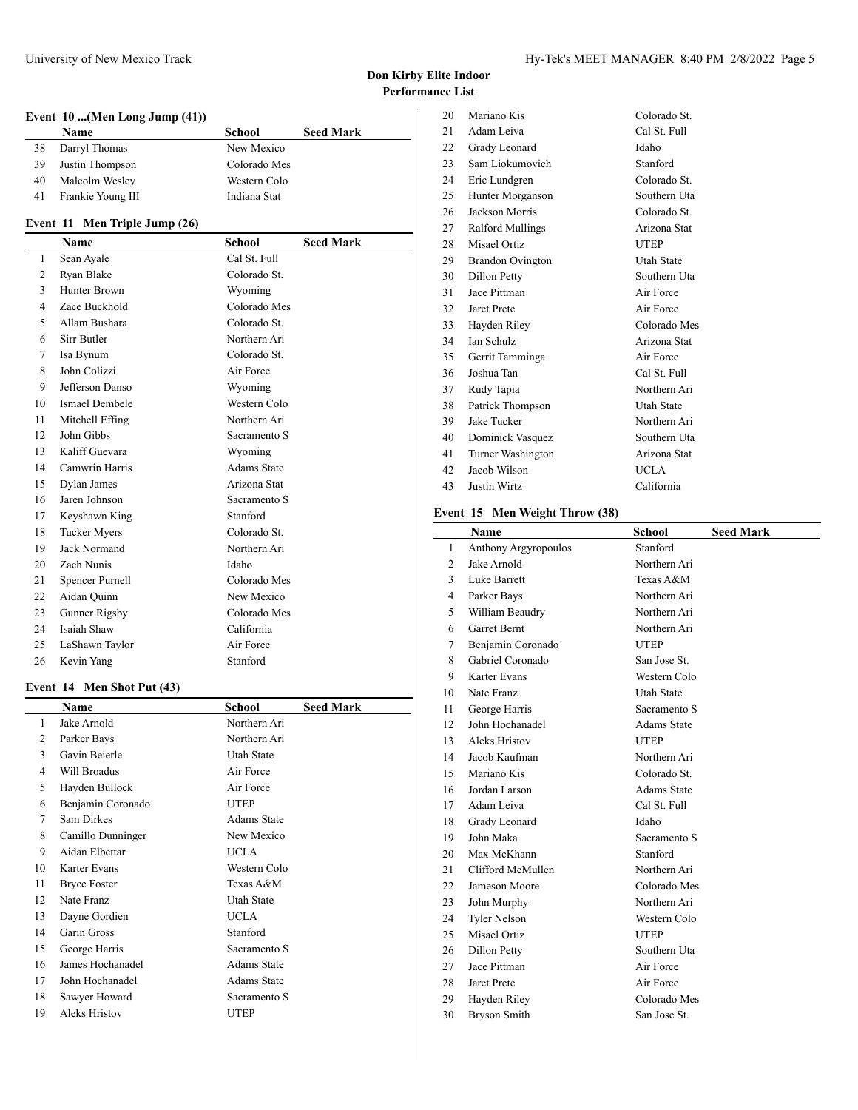# **Event 10 ...(Men Long Jump (41))**

|    | <b>Name</b>       | School       | <b>Seed Mark</b> |
|----|-------------------|--------------|------------------|
|    | Darryl Thomas     | New Mexico   |                  |
| 39 | Justin Thompson   | Colorado Mes |                  |
| 40 | Malcolm Wesley    | Western Colo |                  |
| 41 | Frankie Young III | Indiana Stat |                  |

# **Event 11 Men Triple Jump (26)**

|              | Name                | School             | <b>Seed Mark</b> |
|--------------|---------------------|--------------------|------------------|
| $\mathbf{1}$ | Sean Ayale          | Cal St. Full       |                  |
| 2            | Ryan Blake          | Colorado St.       |                  |
| 3            | Hunter Brown        | Wyoming            |                  |
| 4            | Zace Buckhold       | Colorado Mes       |                  |
| 5            | Allam Bushara       | Colorado St.       |                  |
| 6            | Sirr Butler         | Northern Ari       |                  |
| 7            | Isa Bynum           | Colorado St.       |                  |
| 8            | John Colizzi        | Air Force          |                  |
| 9            | Jefferson Danso     | Wyoming            |                  |
| 10           | Ismael Dembele      | Western Colo       |                  |
| 11           | Mitchell Effing     | Northern Ari       |                  |
| 12           | John Gibbs          | Sacramento S       |                  |
| 13           | Kaliff Guevara      | Wyoming            |                  |
| 14           | Camwrin Harris      | <b>Adams State</b> |                  |
| 15           | Dylan James         | Arizona Stat       |                  |
| 16           | Jaren Johnson       | Sacramento S       |                  |
| 17           | Keyshawn King       | Stanford           |                  |
| 18           | <b>Tucker Myers</b> | Colorado St.       |                  |
| 19           | Jack Normand        | Northern Ari       |                  |
| 20           | Zach Nunis          | Idaho              |                  |
| 21           | Spencer Purnell     | Colorado Mes       |                  |
| 22           | Aidan Quinn         | New Mexico         |                  |
| 23           | Gunner Rigsby       | Colorado Mes       |                  |
| 24           | Isaiah Shaw         | California         |                  |
| 25           | LaShawn Taylor      | Air Force          |                  |
| 26           | Kevin Yang          | Stanford           |                  |

#### **Event 14 Men Shot Put (43)**

|    | Name                | School             | <b>Seed Mark</b> |
|----|---------------------|--------------------|------------------|
| 1  | Jake Arnold         | Northern Ari       |                  |
| 2  | Parker Bays         | Northern Ari       |                  |
| 3  | Gavin Beierle       | Utah State         |                  |
| 4  | Will Broadus        | Air Force          |                  |
| 5  | Hayden Bullock      | Air Force          |                  |
| 6  | Benjamin Coronado   | <b>UTEP</b>        |                  |
| 7  | Sam Dirkes          | <b>Adams State</b> |                  |
| 8  | Camillo Dunninger   | New Mexico         |                  |
| 9  | Aidan Elbettar      | <b>UCLA</b>        |                  |
| 10 | Karter Evans        | Western Colo       |                  |
| 11 | <b>Bryce Foster</b> | Texas A&M          |                  |
| 12 | Nate Franz          | <b>Utah State</b>  |                  |
| 13 | Dayne Gordien       | <b>UCLA</b>        |                  |
| 14 | Garin Gross         | Stanford           |                  |
| 15 | George Harris       | Sacramento S       |                  |
| 16 | James Hochanadel    | <b>Adams State</b> |                  |
| 17 | John Hochanadel     | <b>Adams State</b> |                  |
| 18 | Sawyer Howard       | Sacramento S       |                  |
| 19 | Aleks Hristov       | UTEP               |                  |

| 20 | Mariano Kis             | Colorado St. |
|----|-------------------------|--------------|
| 21 | Adam Leiva              | Cal St. Full |
| 22 | Grady Leonard           | Idaho        |
| 23 | Sam Liokumovich         | Stanford     |
| 24 | Eric Lundgren           | Colorado St. |
| 25 | Hunter Morganson        | Southern Uta |
| 26 | Jackson Morris          | Colorado St. |
| 27 | Ralford Mullings        | Arizona Stat |
| 28 | Misael Ortiz            | <b>UTEP</b>  |
| 29 | <b>Brandon Ovington</b> | Utah State   |
| 30 | Dillon Petty            | Southern Uta |
| 31 | Jace Pittman            | Air Force    |
| 32 | Jaret Prete             | Air Force    |
| 33 | Hayden Riley            | Colorado Mes |
| 34 | <b>Ian Schulz</b>       | Arizona Stat |
| 35 | Gerrit Tamminga         | Air Force    |
| 36 | Joshua Tan              | Cal St. Full |
| 37 | Rudy Tapia              | Northern Ari |
| 38 | Patrick Thompson        | Utah State   |
| 39 | Jake Tucker             | Northern Ari |
| 40 | Dominick Vasquez        | Southern Uta |
| 41 | Turner Washington       | Arizona Stat |
| 42 | Jacob Wilson            | <b>UCLA</b>  |
| 43 | Justin Wirtz            | California   |
|    |                         |              |

# **Event 15 Men Weight Throw (38)**

|                | <b>Name</b>                 | School             | <b>Seed Mark</b> |
|----------------|-----------------------------|--------------------|------------------|
| $\mathbf{1}$   | <b>Anthony Argyropoulos</b> | Stanford           |                  |
| $\overline{2}$ | Jake Arnold                 | Northern Ari       |                  |
| 3              | Luke Barrett                | Texas A&M          |                  |
| 4              | Parker Bays                 | Northern Ari       |                  |
| 5              | William Beaudry             | Northern Ari       |                  |
| 6              | <b>Garret Bernt</b>         | Northern Ari       |                  |
| 7              | Benjamin Coronado           | <b>UTEP</b>        |                  |
| 8              | Gabriel Coronado            | San Jose St.       |                  |
| 9              | Karter Evans                | Western Colo       |                  |
| 10             | Nate Franz                  | <b>Utah State</b>  |                  |
| 11             | George Harris               | Sacramento S       |                  |
| 12             | John Hochanadel             | <b>Adams State</b> |                  |
| 13             | Aleks Hristov               | <b>UTEP</b>        |                  |
| 14             | Jacob Kaufman               | Northern Ari       |                  |
| 15             | Mariano Kis                 | Colorado St.       |                  |
| 16             | Jordan Larson               | <b>Adams State</b> |                  |
| 17             | Adam Leiva                  | Cal St. Full       |                  |
| 18             | Grady Leonard               | Idaho              |                  |
| 19             | John Maka                   | Sacramento S       |                  |
| 20             | Max McKhann                 | Stanford           |                  |
| 21             | Clifford McMullen           | Northern Ari       |                  |
| 22             | Jameson Moore               | Colorado Mes       |                  |
| 23             | John Murphy                 | Northern Ari       |                  |
| 24             | <b>Tyler Nelson</b>         | Western Colo       |                  |
| 25             | Misael Ortiz                | <b>UTEP</b>        |                  |
| 26             | Dillon Petty                | Southern Uta       |                  |
| 27             | Jace Pittman                | Air Force          |                  |
| 28             | Jaret Prete                 | Air Force          |                  |
| 29             | Hayden Riley                | Colorado Mes       |                  |
| 30             | <b>Bryson Smith</b>         | San Jose St.       |                  |
|                |                             |                    |                  |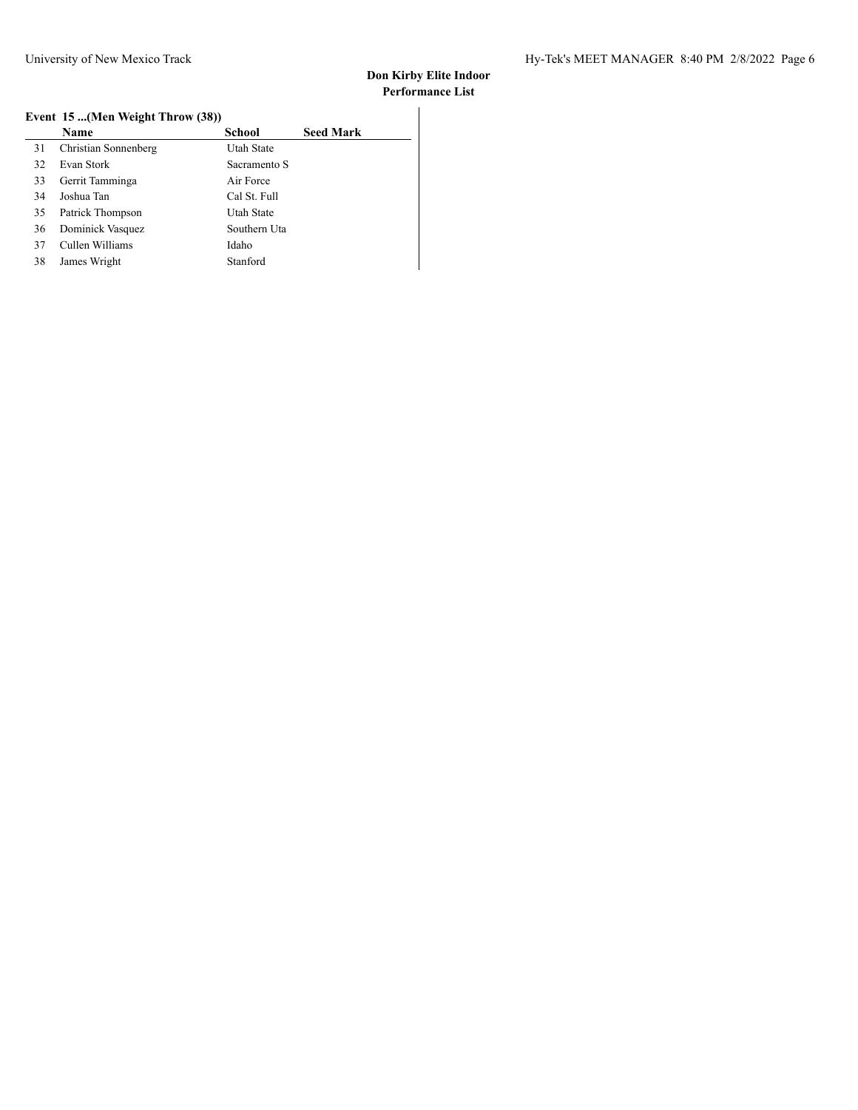## **Event 15 ...(Men Weight Throw (38))**

| <b>Name</b>          | School       | <b>Seed Mark</b>                 |
|----------------------|--------------|----------------------------------|
| Christian Sonnenberg | Utah State   |                                  |
| Evan Stork           | Sacramento S |                                  |
| Gerrit Tamminga      | Air Force    |                                  |
| Joshua Tan           | Cal St. Full |                                  |
| Patrick Thompson     | Utah State   |                                  |
| Dominick Vasquez     | Southern Uta |                                  |
| Cullen Williams      | Idaho        |                                  |
| James Wright         | Stanford     |                                  |
|                      |              | Event 15 (Men Weight Throw (38)) |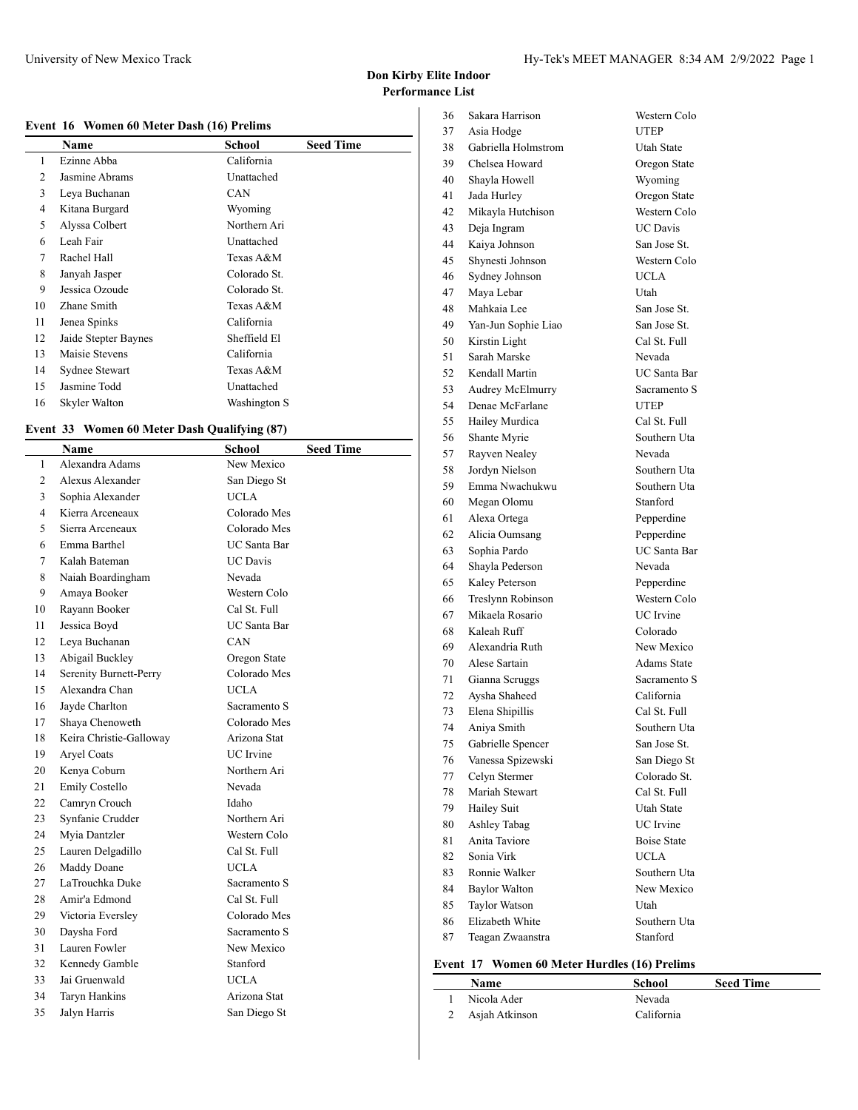## **Event 16 Women 60 Meter Dash (16) Prelims**

|    | Name                 | School       | <b>Seed Time</b> |
|----|----------------------|--------------|------------------|
| 1  | Ezinne Abba          | California   |                  |
| 2  | Jasmine Abrams       | Unattached   |                  |
| 3  | Leya Buchanan        | CAN          |                  |
| 4  | Kitana Burgard       | Wyoming      |                  |
| 5  | Alyssa Colbert       | Northern Ari |                  |
| 6  | Leah Fair            | Unattached   |                  |
| 7  | Rachel Hall          | Texas A&M    |                  |
| 8  | Janyah Jasper        | Colorado St. |                  |
| 9  | Jessica Ozoude       | Colorado St. |                  |
| 10 | Zhane Smith          | Texas A&M    |                  |
| 11 | Jenea Spinks         | California   |                  |
| 12 | Jaide Stepter Baynes | Sheffield El |                  |
| 13 | Maisie Stevens       | California   |                  |
| 14 | Sydnee Stewart       | Texas A&M    |                  |
| 15 | Jasmine Todd         | Unattached   |                  |
| 16 | Skyler Walton        | Washington S |                  |
|    |                      |              |                  |

## **Event 33 Women 60 Meter Dash Qualifying (87)**

|    | Name                    | School              | <b>Seed Time</b> |
|----|-------------------------|---------------------|------------------|
| 1  | Alexandra Adams         | New Mexico          |                  |
| 2  | Alexus Alexander        | San Diego St        |                  |
| 3  | Sophia Alexander        | <b>UCLA</b>         |                  |
| 4  | Kierra Arceneaux        | Colorado Mes        |                  |
| 5  | Sierra Arceneaux        | Colorado Mes        |                  |
| 6  | Emma Barthel            | <b>UC</b> Santa Bar |                  |
| 7  | Kalah Bateman           | <b>UC</b> Davis     |                  |
| 8  | Naiah Boardingham       | Nevada              |                  |
| 9  | Amaya Booker            | Western Colo        |                  |
| 10 | Rayann Booker           | Cal St. Full        |                  |
| 11 | Jessica Boyd            | UC Santa Bar        |                  |
| 12 | Leya Buchanan           | CAN                 |                  |
| 13 | Abigail Buckley         | Oregon State        |                  |
| 14 | Serenity Burnett-Perry  | Colorado Mes        |                  |
| 15 | Alexandra Chan          | UCLA-               |                  |
| 16 | Jayde Charlton          | Sacramento S        |                  |
| 17 | Shaya Chenoweth         | Colorado Mes        |                  |
| 18 | Keira Christie-Galloway | Arizona Stat        |                  |
| 19 | Aryel Coats             | <b>UC</b> Irvine    |                  |
| 20 | Kenya Coburn            | Northern Ari        |                  |
| 21 | Emily Costello          | Nevada              |                  |
| 22 | Camryn Crouch           | Idaho               |                  |
| 23 | Synfanie Crudder        | Northern Ari        |                  |
| 24 | Myia Dantzler           | Western Colo        |                  |
| 25 | Lauren Delgadillo       | Cal St. Full        |                  |
| 26 | Maddy Doane             | <b>UCLA</b>         |                  |
| 27 | LaTrouchka Duke         | Sacramento S        |                  |
| 28 | Amir'a Edmond           | Cal St. Full        |                  |
| 29 | Victoria Eversley       | Colorado Mes        |                  |
| 30 | Daysha Ford             | Sacramento S        |                  |
| 31 | Lauren Fowler           | New Mexico          |                  |
| 32 | Kennedy Gamble          | Stanford            |                  |
| 33 | Jai Gruenwald           | UCLA-               |                  |
| 34 | <b>Taryn Hankins</b>    | Arizona Stat        |                  |
| 35 | Jalyn Harris            | San Diego St        |                  |

| 36 | Sakara Harrison      | Western Colo        |
|----|----------------------|---------------------|
| 37 | Asia Hodge           | <b>UTEP</b>         |
| 38 | Gabriella Holmstrom  | <b>Utah State</b>   |
| 39 | Chelsea Howard       | Oregon State        |
| 40 | Shayla Howell        | Wyoming             |
| 41 | Jada Hurley          | Oregon State        |
| 42 | Mikayla Hutchison    | Western Colo        |
| 43 | Deja Ingram          | <b>UC</b> Davis     |
| 44 | Kaiya Johnson        | San Jose St.        |
| 45 | Shynesti Johnson     | Western Colo        |
| 46 | Sydney Johnson       | <b>UCLA</b>         |
| 47 | Maya Lebar           | Utah                |
| 48 | Mahkaia Lee          | San Jose St.        |
| 49 | Yan-Jun Sophie Liao  | San Jose St.        |
| 50 | Kirstin Light        | Cal St. Full        |
| 51 | Sarah Marske         | Nevada              |
| 52 | Kendall Martin       | <b>UC</b> Santa Bar |
| 53 | Audrey McElmurry     | Sacramento S        |
| 54 | Denae McFarlane      | <b>UTEP</b>         |
| 55 | Hailey Murdica       | Cal St. Full        |
| 56 | Shante Myrie         | Southern Uta        |
| 57 | Rayven Nealey        | Nevada              |
| 58 | Jordyn Nielson       | Southern Uta        |
| 59 | Emma Nwachukwu       | Southern Uta        |
| 60 | Megan Olomu          | Stanford            |
| 61 | Alexa Ortega         | Pepperdine          |
| 62 | Alicia Oumsang       | Pepperdine          |
| 63 | Sophia Pardo         | <b>UC</b> Santa Bar |
| 64 | Shayla Pederson      | Nevada              |
| 65 | Kaley Peterson       | Pepperdine          |
| 66 | Treslynn Robinson    | Western Colo        |
| 67 | Mikaela Rosario      | <b>UC</b> Irvine    |
| 68 | Kaleah Ruff          | Colorado            |
| 69 | Alexandria Ruth      | New Mexico          |
| 70 | Alese Sartain        | Adams State         |
| 71 | Gianna Scruggs       | Sacramento S        |
| 72 | Aysha Shaheed        | California          |
| 73 | Elena Shipillis      | Cal St. Full        |
| 74 | Aniya Smith          | Southern Uta        |
| 75 | Gabrielle Spencer    | San Jose St.        |
| 76 | Vanessa Spizewski    | San Diego St        |
| 77 | Celyn Stermer        | Colorado St.        |
| 78 | Mariah Stewart       | Cal St. Full        |
| 79 | Hailey Suit          | <b>Utah State</b>   |
| 80 | Ashley Tabag         | <b>UC</b> Irvine    |
| 81 | Anita Taviore        | <b>Boise State</b>  |
| 82 | Sonia Virk           | <b>UCLA</b>         |
| 83 | Ronnie Walker        | Southern Uta        |
| 84 | <b>Baylor Walton</b> | New Mexico          |
| 85 | Taylor Watson        | Utah                |
| 86 | Elizabeth White      | Southern Uta        |
| 87 | Teagan Zwaanstra     | Stanford            |
|    |                      |                     |

# **Event 17 Women 60 Meter Hurdles (16) Prelims**

| Name           | School     | <b>Seed Time</b> |
|----------------|------------|------------------|
| Nicola Ader    | Nevada     |                  |
| Asjah Atkinson | California |                  |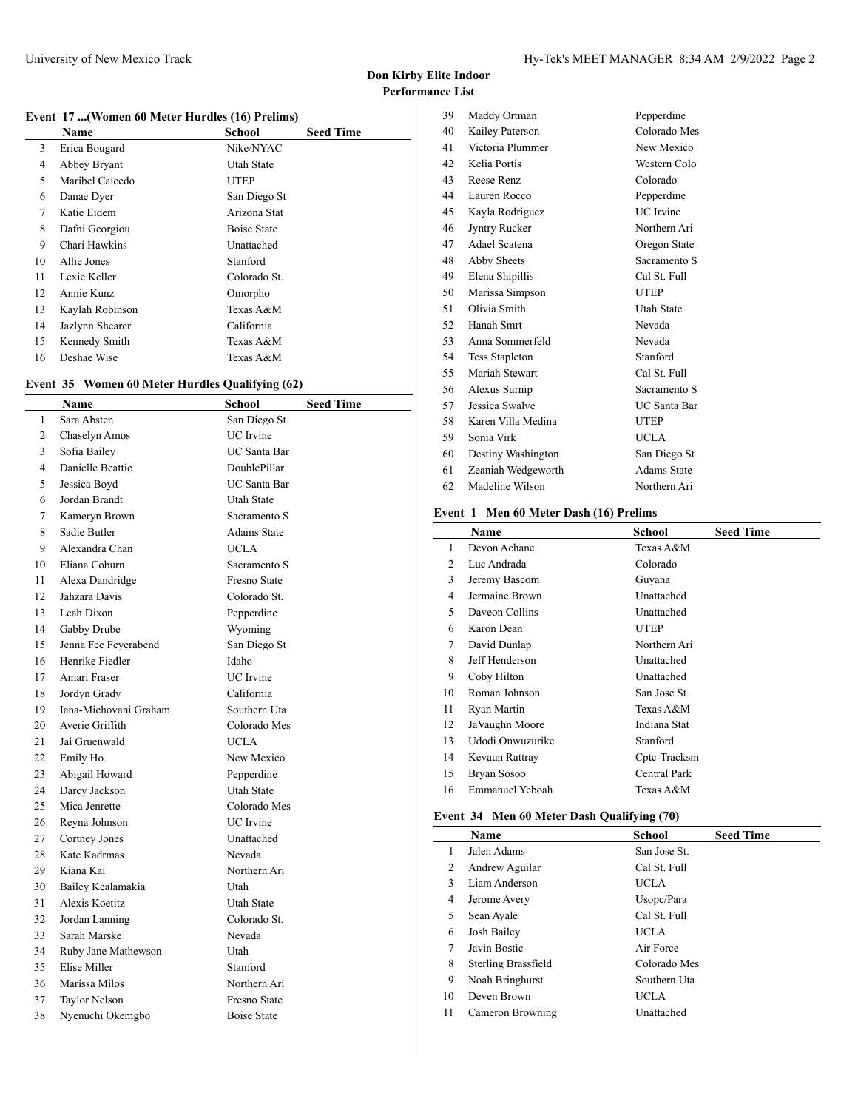$\overline{\phantom{a}}$ 

## **Event 17 ...(Women 60 Meter Hurdles (16) Prelims)**

|    | <b>Name</b>     | <b>School</b>      | <b>Seed Time</b> |
|----|-----------------|--------------------|------------------|
| 3  | Erica Bougard   | Nike/NYAC          |                  |
| 4  | Abbey Bryant    | Utah State         |                  |
| 5  | Maribel Caicedo | UTEP               |                  |
| 6  | Danae Dyer      | San Diego St       |                  |
| 7  | Katie Eidem     | Arizona Stat       |                  |
| 8  | Dafni Georgiou  | <b>Boise State</b> |                  |
| 9  | Chari Hawkins   | Unattached         |                  |
| 10 | Allie Jones     | Stanford           |                  |
| 11 | Lexie Keller    | Colorado St.       |                  |
| 12 | Annie Kunz      | Omorpho            |                  |
| 13 | Kaylah Robinson | Texas A&M          |                  |
| 14 | Jazlynn Shearer | California         |                  |
| 15 | Kennedy Smith   | Texas A&M          |                  |
| 16 | Deshae Wise     | Texas A&M          |                  |

# **Event 35 Women 60 Meter Hurdles Qualifying (62)**

|    | Name                  | <b>School</b>       | <b>Seed Time</b> |
|----|-----------------------|---------------------|------------------|
| 1  | Sara Absten           | San Diego St        |                  |
| 2  | Chaselyn Amos         | <b>UC</b> Irvine    |                  |
| 3  | Sofia Bailey          | <b>UC</b> Santa Bar |                  |
| 4  | Danielle Beattie      | DoublePillar        |                  |
| 5  | Jessica Boyd          | <b>UC</b> Santa Bar |                  |
| 6  | Jordan Brandt         | <b>Utah State</b>   |                  |
| 7  | Kameryn Brown         | Sacramento S        |                  |
| 8  | Sadie Butler          | <b>Adams State</b>  |                  |
| 9  | Alexandra Chan        | <b>UCLA</b>         |                  |
| 10 | Eliana Coburn         | Sacramento S        |                  |
| 11 | Alexa Dandridge       | Fresno State        |                  |
| 12 | Jahzara Davis         | Colorado St.        |                  |
| 13 | Leah Dixon            | Pepperdine          |                  |
| 14 | Gabby Drube           | Wyoming             |                  |
| 15 | Jenna Fee Feyerabend  | San Diego St        |                  |
| 16 | Henrike Fiedler       | Idaho               |                  |
| 17 | Amari Fraser          | <b>UC</b> Irvine    |                  |
| 18 | Jordyn Grady          | California          |                  |
| 19 | Iana-Michovani Graham | Southern Uta        |                  |
| 20 | Averie Griffith       | Colorado Mes        |                  |
| 21 | Jai Gruenwald         | <b>UCLA</b>         |                  |
| 22 | Emily Ho              | New Mexico          |                  |
| 23 | Abigail Howard        | Pepperdine          |                  |
| 24 | Darcy Jackson         | Utah State          |                  |
| 25 | Mica Jenrette         | Colorado Mes        |                  |
| 26 | Reyna Johnson         | UC Irvine           |                  |
| 27 | Cortney Jones         | Unattached          |                  |
| 28 | Kate Kadrmas          | Nevada              |                  |
| 29 | Kiana Kai             | Northern Ari        |                  |
| 30 | Bailey Kealamakia     | Utah                |                  |
| 31 | Alexis Koetitz        | Utah State          |                  |
| 32 | Jordan Lanning        | Colorado St.        |                  |
| 33 | Sarah Marske          | Nevada              |                  |
| 34 | Ruby Jane Mathewson   | Utah                |                  |
| 35 | Elise Miller          | Stanford            |                  |
| 36 | Marissa Milos         | Northern Ari        |                  |
| 37 | Taylor Nelson         | Fresno State        |                  |
| 38 | Nyenuchi Okemgbo      | <b>Boise State</b>  |                  |
|    |                       |                     |                  |

| 39  | Maddy Ortman          | Pepperdine         |
|-----|-----------------------|--------------------|
| 40  | Kailey Paterson       | Colorado Mes       |
| 41  | Victoria Plummer      | New Mexico         |
| 42  | Kelia Portis          | Western Colo       |
| 43  | Reese Renz            | Colorado           |
| 44  | Lauren Rocco          | Pepperdine         |
| 45  | Kayla Rodriguez       | <b>UC</b> Irvine   |
| 46  | Jyntry Rucker         | Northern Ari       |
| 47  | Adael Scatena         | Oregon State       |
| 48  | Abby Sheets           | Sacramento S       |
| 49  | Elena Shipillis       | Cal St. Full       |
| 50  | Marissa Simpson       | <b>UTEP</b>        |
| 51  | Olivia Smith          | Utah State         |
| 52  | Hanah Smrt            | Nevada             |
| 53  | Anna Sommerfeld       | Nevada             |
| 54  | <b>Tess Stapleton</b> | Stanford           |
| 55. | Mariah Stewart        | Cal St. Full       |
| 56  | Alexus Surnip         | Sacramento S       |
| 57  | Jessica Swalve        | UC Santa Bar       |
| 58  | Karen Villa Medina    | UTEP               |
| 59. | Sonia Virk            | <b>UCLA</b>        |
| 60  | Destiny Washington    | San Diego St       |
| 61  | Zeaniah Wedgeworth    | <b>Adams State</b> |
| 62  | Madeline Wilson       | Northern Ari       |

#### **Event 1 Men 60 Meter Dash (16) Prelims**

|    | Name             | School       | <b>Seed Time</b> |
|----|------------------|--------------|------------------|
| 1  | Devon Achane     | Texas A&M    |                  |
| 2  | Luc Andrada      | Colorado     |                  |
| 3  | Jeremy Bascom    | Guyana       |                  |
| 4  | Jermaine Brown   | Unattached   |                  |
| 5  | Daveon Collins   | Unattached   |                  |
| 6  | Karon Dean       | <b>UTEP</b>  |                  |
| 7  | David Dunlap     | Northern Ari |                  |
| 8  | Jeff Henderson   | Unattached   |                  |
| 9  | Coby Hilton      | Unattached   |                  |
| 10 | Roman Johnson    | San Jose St. |                  |
| 11 | Ryan Martin      | Texas A&M    |                  |
| 12 | JaVaughn Moore   | Indiana Stat |                  |
| 13 | Udodi Onwuzurike | Stanford     |                  |
| 14 | Kevaun Rattray   | Cptc-Tracksm |                  |
| 15 | Bryan Sosoo      | Central Park |                  |
| 16 | Emmanuel Yeboah  | Texas A&M    |                  |
|    |                  |              |                  |

## **Event 34 Men 60 Meter Dash Qualifying (70)**

|    | Name                | School       | <b>Seed Time</b> |
|----|---------------------|--------------|------------------|
| 1  | Jalen Adams         | San Jose St. |                  |
| 2  | Andrew Aguilar      | Cal St. Full |                  |
| 3  | Liam Anderson       | UCLA-        |                  |
| 4  | Jerome Avery        | Usopc/Para   |                  |
| 5  | Sean Ayale          | Cal St. Full |                  |
| 6  | Josh Bailey         | UCLA-        |                  |
| 7  | Javin Bostic        | Air Force    |                  |
| 8  | Sterling Brassfield | Colorado Mes |                  |
| 9  | Noah Bringhurst     | Southern Uta |                  |
| 10 | Deven Brown         | UCLA.        |                  |
| 11 | Cameron Browning    | Unattached   |                  |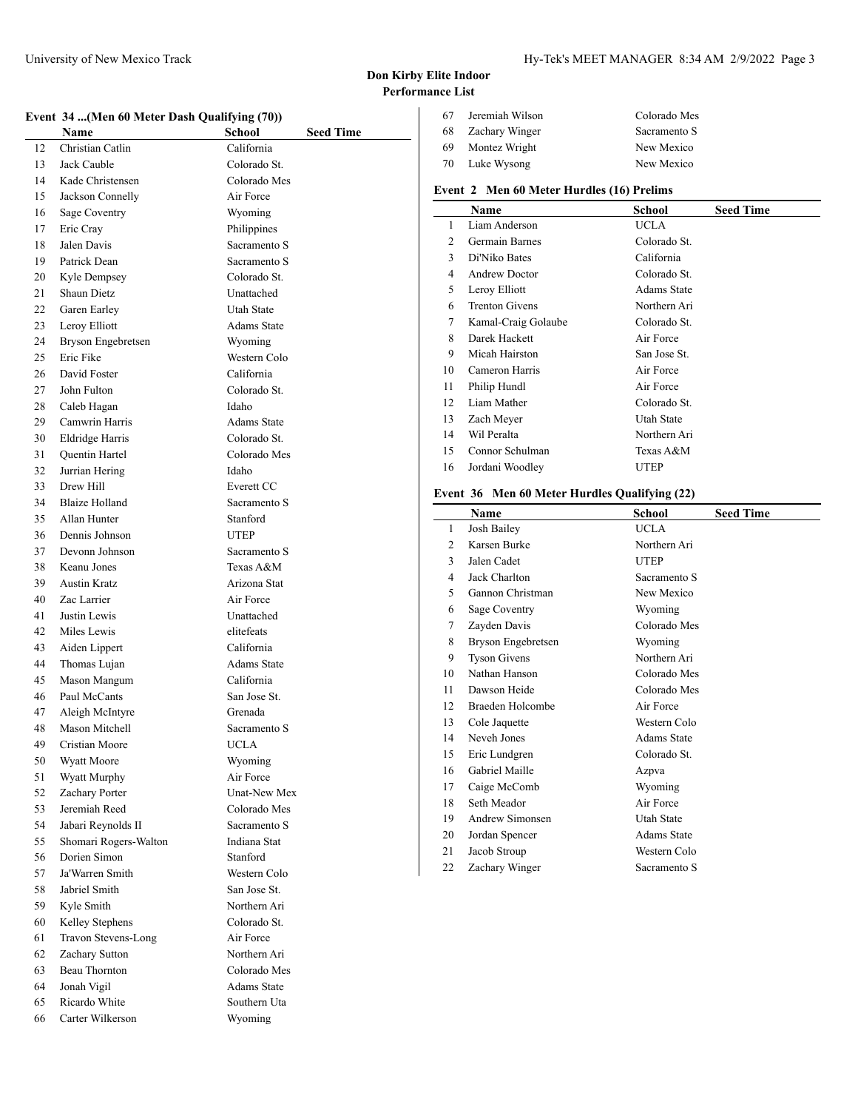## **Event 34 ...(Men 60 Meter Dash Qualifying (70))**

|    | EVENT $57$ (MEN 00 MEET Dasn Quantying (70)) |                                   |
|----|----------------------------------------------|-----------------------------------|
|    | Name                                         | <b>School</b><br><b>Seed Time</b> |
| 12 | Christian Catlin                             | California                        |
| 13 | Jack Cauble                                  | Colorado St.                      |
| 14 | Kade Christensen                             | Colorado Mes                      |
| 15 | Jackson Connelly                             | Air Force                         |
| 16 | Sage Coventry                                | Wyoming                           |
| 17 | Eric Cray                                    | Philippines                       |
| 18 | Jalen Davis                                  | Sacramento S                      |
| 19 | Patrick Dean                                 | Sacramento S                      |
| 20 | Kyle Dempsey                                 | Colorado St.                      |
| 21 | Shaun Dietz                                  | Unattached                        |
| 22 | Garen Earley                                 | Utah State                        |
| 23 | Leroy Elliott                                | <b>Adams State</b>                |
| 24 | Bryson Engebretsen                           | Wyoming                           |
| 25 | Eric Fike                                    | Western Colo                      |
| 26 | David Foster                                 | California                        |
| 27 | John Fulton                                  | Colorado St.                      |
| 28 | Caleb Hagan                                  | Idaho                             |
| 29 | Camwrin Harris                               | <b>Adams State</b>                |
| 30 | Eldridge Harris                              | Colorado St.                      |
| 31 | Quentin Hartel                               | Colorado Mes                      |
| 32 | Jurrian Hering                               | Idaho                             |
| 33 | Drew Hill                                    | Everett CC                        |
| 34 | <b>Blaize Holland</b>                        | Sacramento S                      |
| 35 | Allan Hunter                                 | Stanford                          |
| 36 | Dennis Johnson                               | <b>UTEP</b>                       |
| 37 | Devonn Johnson                               | Sacramento S                      |
| 38 | Keanu Jones                                  | Texas A&M                         |
| 39 | <b>Austin Kratz</b>                          | Arizona Stat                      |
| 40 | Zac Larrier                                  | Air Force                         |
| 41 | Justin Lewis                                 | Unattached                        |
| 42 | Miles Lewis                                  | elitefeats                        |
| 43 | Aiden Lippert                                | California                        |
| 44 | Thomas Lujan                                 | <b>Adams State</b>                |
| 45 | Mason Mangum                                 | California                        |
| 46 | Paul McCants                                 | San Jose St.                      |
| 47 | Aleigh McIntyre                              | Grenada                           |
| 48 | Mason Mitchell                               | Sacramento S                      |
| 49 | Cristian Moore                               | UCLA                              |
| 50 | Wyatt Moore                                  | Wyoming                           |
| 51 | Wyatt Murphy                                 | Air Force                         |
| 52 | Zachary Porter                               | Unat-New Mex                      |
| 53 | Jeremiah Reed                                | Colorado Mes                      |
| 54 | Jabari Reynolds II                           | Sacramento S                      |
| 55 | Shomari Rogers-Walton                        | Indiana Stat                      |
| 56 | Dorien Simon                                 | Stanford                          |
| 57 | Ja'Warren Smith                              | Western Colo                      |
| 58 | Jabriel Smith                                | San Jose St.                      |
| 59 | Kyle Smith                                   | Northern Ari                      |
| 60 | Kelley Stephens                              | Colorado St.                      |
| 61 | Travon Stevens-Long                          | Air Force                         |
| 62 | Zachary Sutton                               | Northern Ari                      |
| 63 | Beau Thornton                                | Colorado Mes                      |
| 64 | Jonah Vigil                                  | <b>Adams State</b>                |
| 65 | Ricardo White                                | Southern Uta                      |
| 66 | Carter Wilkerson                             | Wyoming                           |

| 67 | Jeremiah Wilson | Colorado Mes |
|----|-----------------|--------------|
| 68 | Zachary Winger  | Sacramento S |
| 69 | Montez Wright   | New Mexico   |
| 70 | Luke Wysong     | New Mexico   |

## **Event 2 Men 60 Meter Hurdles (16) Prelims**

|    | Name                  | School             | <b>Seed Time</b> |
|----|-----------------------|--------------------|------------------|
| 1  | Liam Anderson         | UCLA               |                  |
| 2  | Germain Barnes        | Colorado St.       |                  |
| 3  | Di'Niko Bates         | California         |                  |
| 4  | <b>Andrew Doctor</b>  | Colorado St.       |                  |
| 5  | Leroy Elliott         | <b>Adams State</b> |                  |
| 6  | <b>Trenton Givens</b> | Northern Ari       |                  |
| 7  | Kamal-Craig Golaube   | Colorado St.       |                  |
| 8  | Darek Hackett         | Air Force          |                  |
| 9  | Micah Hairston        | San Jose St.       |                  |
| 10 | Cameron Harris        | Air Force          |                  |
| 11 | Philip Hundl          | Air Force          |                  |
| 12 | Liam Mather           | Colorado St.       |                  |
| 13 | Zach Meyer            | Utah State         |                  |
| 14 | Wil Peralta           | Northern Ari       |                  |
| 15 | Connor Schulman       | Texas A&M          |                  |
| 16 | Jordani Woodley       | UTEP               |                  |

# **Event 36 Men 60 Meter Hurdles Qualifying (22)**

|    | <b>Name</b>         | School       | <b>Seed Time</b> |
|----|---------------------|--------------|------------------|
| 1  | Josh Bailey         | UCLA         |                  |
| 2  | Karsen Burke        | Northern Ari |                  |
| 3  | Jalen Cadet         | <b>UTEP</b>  |                  |
| 4  | Jack Charlton       | Sacramento S |                  |
| 5  | Gannon Christman    | New Mexico   |                  |
| 6  | Sage Coventry       | Wyoming      |                  |
| 7  | Zayden Davis        | Colorado Mes |                  |
| 8  | Bryson Engebretsen  | Wyoming      |                  |
| 9  | <b>Tyson Givens</b> | Northern Ari |                  |
| 10 | Nathan Hanson       | Colorado Mes |                  |
| 11 | Dawson Heide        | Colorado Mes |                  |
| 12 | Braeden Holcombe    | Air Force    |                  |
| 13 | Cole Jaquette       | Western Colo |                  |
| 14 | Neveh Jones         | Adams State  |                  |
| 15 | Eric Lundgren       | Colorado St. |                  |
| 16 | Gabriel Maille      | Azpva        |                  |
| 17 | Caige McComb        | Wyoming      |                  |
| 18 | Seth Meador         | Air Force    |                  |
| 19 | Andrew Simonsen     | Utah State   |                  |
| 20 | Jordan Spencer      | Adams State  |                  |
| 21 | Jacob Stroup        | Western Colo |                  |
| 22 | Zachary Winger      | Sacramento S |                  |
|    |                     |              |                  |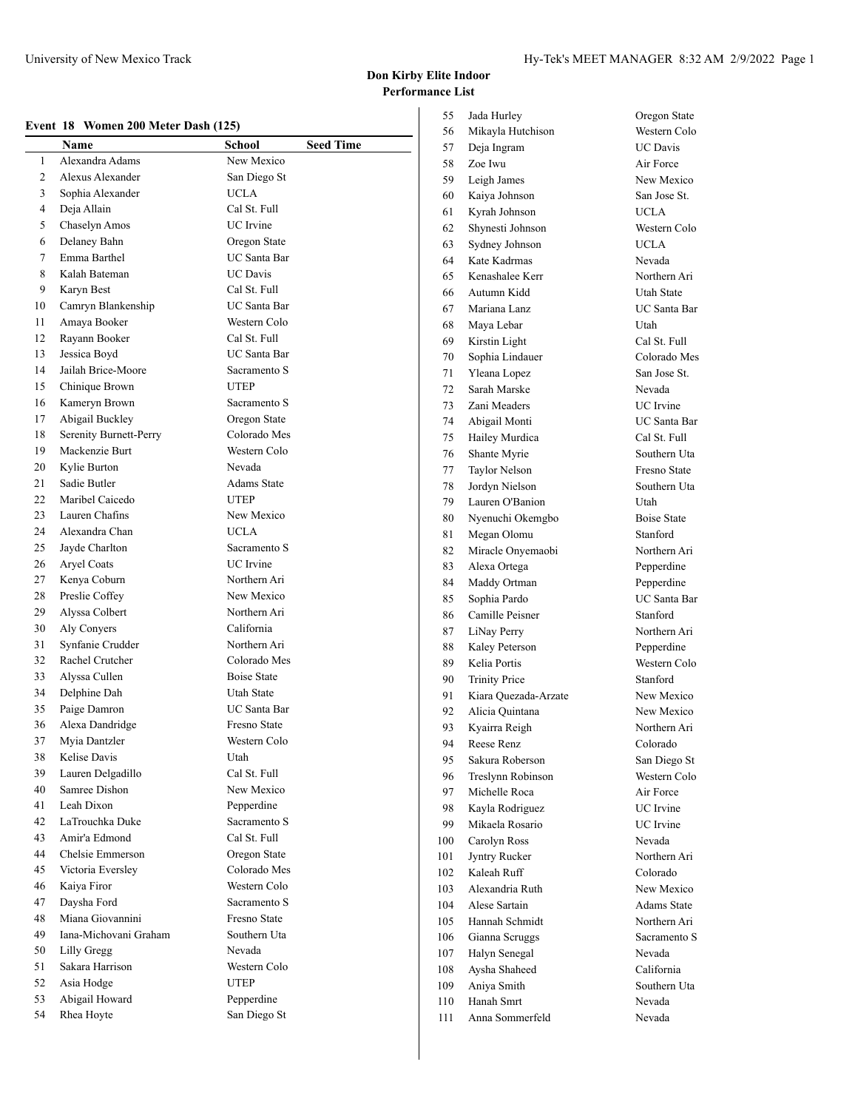#### **Event 18 Women 200 Meter Dash (125)**

|        | Name                   | <b>School</b>       | <b>Seed Time</b> |
|--------|------------------------|---------------------|------------------|
| 1      | Alexandra Adams        | New Mexico          |                  |
| 2      | Alexus Alexander       | San Diego St        |                  |
| 3      | Sophia Alexander       | <b>UCLA</b>         |                  |
| 4      | Deja Allain            | Cal St. Full        |                  |
|        |                        | <b>UC</b> Irvine    |                  |
| 5<br>6 | Chaselyn Amos          |                     |                  |
|        | Delaney Bahn           | Oregon State        |                  |
| 7      | Emma Barthel           | UC Santa Bar        |                  |
| 8      | Kalah Bateman          | <b>UC</b> Davis     |                  |
| 9      | Karyn Best             | Cal St. Full        |                  |
| 10     | Camryn Blankenship     | <b>UC</b> Santa Bar |                  |
| 11     | Amaya Booker           | Western Colo        |                  |
| 12     | Rayann Booker          | Cal St. Full        |                  |
| 13     | Jessica Boyd           | UC Santa Bar        |                  |
| 14     | Jailah Brice-Moore     | Sacramento S        |                  |
| 15     | Chinique Brown         | <b>UTEP</b>         |                  |
| 16     | Kameryn Brown          | Sacramento S        |                  |
| 17     | Abigail Buckley        | Oregon State        |                  |
| 18     | Serenity Burnett-Perry | Colorado Mes        |                  |
| 19     | Mackenzie Burt         | Western Colo        |                  |
| 20     | Kylie Burton           | Nevada              |                  |
| 21     | Sadie Butler           | <b>Adams State</b>  |                  |
| 22     | Maribel Caicedo        | <b>UTEP</b>         |                  |
| 23     | Lauren Chafins         | New Mexico          |                  |
| 24     | Alexandra Chan         | <b>UCLA</b>         |                  |
| 25     | Jayde Charlton         | Sacramento S        |                  |
| 26     | Aryel Coats            | UC Irvine           |                  |
| 27     | Kenya Coburn           | Northern Ari        |                  |
| 28     | Preslie Coffey         | New Mexico          |                  |
| 29     | Alyssa Colbert         | Northern Ari        |                  |
| 30     | Aly Conyers            | California          |                  |
| 31     | Synfanie Crudder       | Northern Ari        |                  |
| 32     | Rachel Crutcher        | Colorado Mes        |                  |
| 33     | Alyssa Cullen          | <b>Boise State</b>  |                  |
| 34     | Delphine Dah           | Utah State          |                  |
| 35     | Paige Damron           | <b>UC</b> Santa Bar |                  |
| 36     | Alexa Dandridge        | Fresno State        |                  |
| 37     | Myia Dantzler          | Western Colo        |                  |
| 38     | Kelise Davis           | Utah                |                  |
| 39     | Lauren Delgadillo      | Cal St. Full        |                  |
| 40     | Samree Dishon          | New Mexico          |                  |
| 41     | Leah Dixon             | Pepperdine          |                  |
|        |                        | Sacramento S        |                  |
| 42     | LaTrouchka Duke        |                     |                  |
| 43     | Amir'a Edmond          | Cal St. Full        |                  |
| 44     | Chelsie Emmerson       | Oregon State        |                  |
| 45     | Victoria Eversley      | Colorado Mes        |                  |
| 46     | Kaiya Firor            | Western Colo        |                  |
| 47     | Daysha Ford            | Sacramento S        |                  |
| 48     | Miana Giovannini       | Fresno State        |                  |
| 49     | Iana-Michovani Graham  | Southern Uta        |                  |
| 50     | Lilly Gregg            | Nevada              |                  |
| 51     | Sakara Harrison        | Western Colo        |                  |
| 52     | Asia Hodge             | UTEP                |                  |
| 53     | Abigail Howard         | Pepperdine          |                  |
| 54     | Rhea Hoyte             | San Diego St        |                  |

| 55  | Jada Hurley          | Oregon State        |
|-----|----------------------|---------------------|
| 56  | Mikayla Hutchison    | Western Colo        |
| 57  | Deja Ingram          | <b>UC</b> Davis     |
| 58  | Zoe Iwu              | Air Force           |
| 59  | Leigh James          | New Mexico          |
| 60  | Kaiya Johnson        | San Jose St.        |
| 61  | Kyrah Johnson        | <b>UCLA</b>         |
| 62  | Shynesti Johnson     | Western Colo        |
| 63  | Sydney Johnson       | <b>UCLA</b>         |
| 64  | Kate Kadrmas         | Nevada              |
| 65  | Kenashalee Kerr      | Northern Ari        |
| 66  | Autumn Kidd          | <b>Utah State</b>   |
| 67  | Mariana Lanz         | UC Santa Bar        |
| 68  | Maya Lebar           | Utah                |
| 69  | Kirstin Light        | Cal St. Full        |
| 70  | Sophia Lindauer      | Colorado Mes        |
| 71  | Yleana Lopez         | San Jose St.        |
| 72  | Sarah Marske         | Nevada              |
| 73  | Zani Meaders         | <b>UC</b> Irvine    |
| 74  | Abigail Monti        | <b>UC</b> Santa Bar |
| 75  | Hailey Murdica       | Cal St. Full        |
| 76  | Shante Myrie         | Southern Uta        |
| 77  | Taylor Nelson        | Fresno State        |
| 78  | Jordyn Nielson       | Southern Uta        |
| 79  | Lauren O'Banion      | Utah                |
| 80  | Nyenuchi Okemgbo     | <b>Boise State</b>  |
| 81  | Megan Olomu          | Stanford            |
| 82  | Miracle Onyemaobi    | Northern Ari        |
| 83  | Alexa Ortega         | Pepperdine          |
| 84  | Maddy Ortman         | Pepperdine          |
| 85  | Sophia Pardo         | UC Santa Bar        |
| 86  | Camille Peisner      | Stanford            |
| 87  | LiNay Perry          | Northern Ari        |
| 88  | Kaley Peterson       | Pepperdine          |
| 89  | Kelia Portis         | Western Colo        |
| 90  | <b>Trinity Price</b> | Stanford            |
| 91  | Kiara Quezada-Arzate | New Mexico          |
| 92  | Alicia Quintana      | New Mexico          |
| 93  | Kyairra Reigh        | Northern Ari        |
| 94  | Reese Renz           | Colorado            |
| 95  | Sakura Roberson      | San Diego St        |
| 96  | Treslynn Robinson    | Western Colo        |
| 97  | Michelle Roca        | Air Force           |
| 98  | Kayla Rodriguez      | <b>UC</b> Irvine    |
| 99  | Mikaela Rosario      | UC Irvine           |
| 100 | Carolyn Ross         | Nevada              |
| 101 | Jyntry Rucker        | Northern Ari        |
| 102 | Kaleah Ruff          | Colorado            |
| 103 | Alexandria Ruth      | New Mexico          |
| 104 | Alese Sartain        | Adams State         |
| 105 | Hannah Schmidt       | Northern Ari        |
| 106 | Gianna Scruggs       | Sacramento S        |
| 107 | Halyn Senegal        | Nevada              |
| 108 | Aysha Shaheed        | California          |
| 109 | Aniya Smith          | Southern Uta        |
| 110 | Hanah Smrt           | Nevada              |
| 111 | Anna Sommerfeld      | Nevada              |
|     |                      |                     |

Oregon State Western Colo UC Davis Air Force New Mexico San Jose St. UCLA Western Colo UCLA Nevada Northern Ari Utah State UC Santa Bar  ${\rm Utah}$ Cal St. Full Colorado Mes San Jose St. Nevada UC Irvine UC Santa Bar Cal St. Full Southern Uta Fresno State Southern Uta  $Utah$ Boise State Stanford Northern Ari Pepperdine Pepperdine UC Santa Bar Stanford Northern Ari Pepperdine Western Colo Stanford New Mexico New Mexico Northern Ari Colorado San Diego St Western Colo Air Force UC Irvine UC Irvine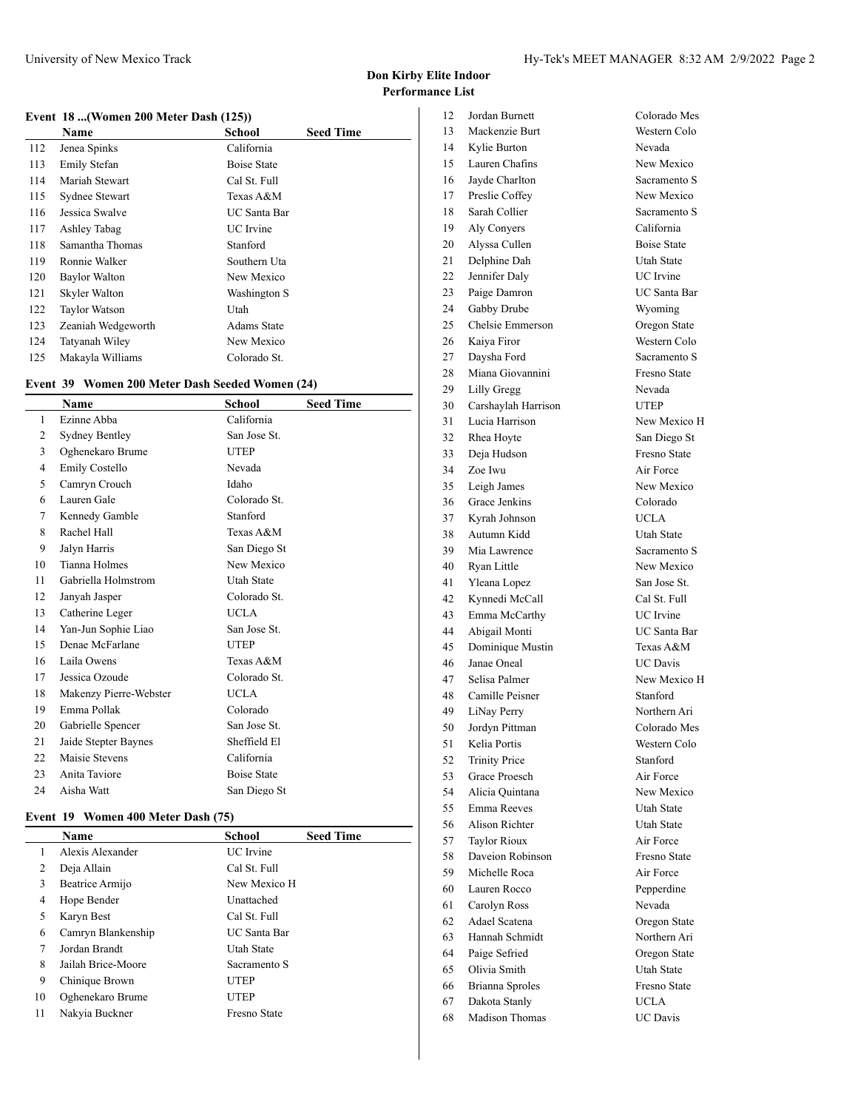$\overline{\phantom{a}}$ 

#### **Event 18 ...(Women 200 Meter Dash (125))**

|     | Name                 | <b>School</b>      | <b>Seed Time</b> |
|-----|----------------------|--------------------|------------------|
| 112 | Jenea Spinks         | California         |                  |
| 113 | Emily Stefan         | <b>Boise State</b> |                  |
| 114 | Mariah Stewart       | Cal St. Full       |                  |
| 115 | Sydnee Stewart       | Texas A&M          |                  |
| 116 | Jessica Swalve       | UC Santa Bar       |                  |
| 117 | Ashley Tabag         | UC Irvine          |                  |
| 118 | Samantha Thomas      | Stanford           |                  |
| 119 | Ronnie Walker        | Southern Uta       |                  |
| 120 | <b>Baylor Walton</b> | New Mexico         |                  |
| 121 | Skyler Walton        | Washington S       |                  |
| 122 | <b>Taylor Watson</b> | Utah               |                  |
| 123 | Zeaniah Wedgeworth   | <b>Adams State</b> |                  |
| 124 | Tatyanah Wiley       | New Mexico         |                  |
| 125 | Makayla Williams     | Colorado St.       |                  |

#### **Event 39 Women 200 Meter Dash Seeded Women (24)**

|    | Name                   | <b>School</b>      | <b>Seed Time</b> |
|----|------------------------|--------------------|------------------|
| 1  | Ezinne Abba            | California         |                  |
| 2  | Sydney Bentley         | San Jose St.       |                  |
| 3  | Oghenekaro Brume       | <b>UTEP</b>        |                  |
| 4  | Emily Costello         | Nevada             |                  |
| 5  | Camryn Crouch          | Idaho              |                  |
| 6  | Lauren Gale            | Colorado St.       |                  |
| 7  | Kennedy Gamble         | Stanford           |                  |
| 8  | Rachel Hall            | Texas A&M          |                  |
| 9  | Jalyn Harris           | San Diego St       |                  |
| 10 | Tianna Holmes          | New Mexico         |                  |
| 11 | Gabriella Holmstrom    | <b>Utah State</b>  |                  |
| 12 | Janyah Jasper          | Colorado St.       |                  |
| 13 | Catherine Leger        | <b>UCLA</b>        |                  |
| 14 | Yan-Jun Sophie Liao    | San Jose St.       |                  |
| 15 | Denae McFarlane        | <b>UTEP</b>        |                  |
| 16 | Laila Owens            | Texas A&M          |                  |
| 17 | Jessica Ozoude         | Colorado St.       |                  |
| 18 | Makenzy Pierre-Webster | <b>UCLA</b>        |                  |
| 19 | Emma Pollak            | Colorado           |                  |
| 20 | Gabrielle Spencer      | San Jose St.       |                  |
| 21 | Jaide Stepter Baynes   | Sheffield El       |                  |
| 22 | Maisie Stevens         | California         |                  |
| 23 | Anita Taviore          | <b>Boise State</b> |                  |
| 24 | Aisha Watt             | San Diego St       |                  |

#### **Event 19 Women 400 Meter Dash (75)**

|    | Name               | School              | <b>Seed Time</b> |
|----|--------------------|---------------------|------------------|
|    | Alexis Alexander   | <b>UC</b> Irvine    |                  |
| 2  | Deja Allain        | Cal St. Full        |                  |
| 3  | Beatrice Armijo    | New Mexico H        |                  |
| 4  | Hope Bender        | Unattached          |                  |
| 5  | Karyn Best         | Cal St. Full        |                  |
| 6  | Camryn Blankenship | <b>UC</b> Santa Bar |                  |
| 7  | Jordan Brandt      | Utah State          |                  |
| 8  | Jailah Brice-Moore | Sacramento S        |                  |
| 9  | Chinique Brown     | <b>UTEP</b>         |                  |
| 10 | Oghenekaro Brume   | <b>UTEP</b>         |                  |
| 11 | Nakyia Buckner     | Fresno State        |                  |

| 12 | Jordan Burnett         | Colorado Mes            |
|----|------------------------|-------------------------|
| 13 | Mackenzie Burt         | Western Colo            |
| 14 | Kylie Burton           | Nevada                  |
| 15 | Lauren Chafins         | New Mexico              |
| 16 | Jayde Charlton         | Sacramento S            |
| 17 | Preslie Coffey         | New Mexico              |
| 18 | Sarah Collier          | Sacramento S            |
| 19 | Aly Conyers            | California              |
| 20 | Alyssa Cullen          | <b>Boise State</b>      |
| 21 | Delphine Dah           | Utah State              |
| 22 | Jennifer Daly          | <b>UC</b> Irvine        |
| 23 | Paige Damron           | <b>UC</b> Santa Bar     |
| 24 | Gabby Drube            | Wyoming                 |
| 25 | Chelsie Emmerson       | Oregon State            |
| 26 | Kaiya Firor            | Western Colo            |
| 27 | Daysha Ford            | Sacramento S            |
| 28 | Miana Giovannini       | Fresno State            |
| 29 | Lilly Gregg            | Nevada                  |
| 30 | Carshaylah Harrison    | <b>UTEP</b>             |
| 31 | Lucia Harrison         | New Mexico H            |
| 32 | Rhea Hoyte             | San Diego St            |
| 33 | Deja Hudson            | Fresno State            |
|    |                        |                         |
| 34 | Zoe Iwu                | Air Force<br>New Mexico |
| 35 | Leigh James            |                         |
| 36 | Grace Jenkins          | Colorado                |
| 37 | Kyrah Johnson          | <b>UCLA</b>             |
| 38 | Autumn Kidd            | Utah State              |
| 39 | Mia Lawrence           | Sacramento S            |
| 40 | Ryan Little            | New Mexico              |
| 41 | Yleana Lopez           | San Jose St.            |
| 42 | Kynnedi McCall         | Cal St. Full            |
| 43 | Emma McCarthy          | <b>UC</b> Irvine        |
| 44 | Abigail Monti          | <b>UC</b> Santa Bar     |
| 45 | Dominique Mustin       | Texas A&M               |
| 46 | Janae Oneal            | <b>UC</b> Davis         |
| 47 | Selisa Palmer          | New Mexico H            |
| 48 | Camille Peisner        | Stanford                |
| 49 | LiNay Perry            | Northern Ari            |
| 50 | Jordyn Pittman         | Colorado Mes            |
| 51 | Kelia Portis           | Western Colo            |
| 52 | <b>Trinity Price</b>   | Stanford                |
| 53 | <b>Grace Proesch</b>   | Air Force               |
| 54 | Alicia Ouintana        | New Mexico              |
| 55 | Emma Reeves            | Utah State              |
| 56 | <b>Alison Richter</b>  | Utah State              |
| 57 | <b>Taylor Rioux</b>    | Air Force               |
| 58 | Daveion Robinson       | Fresno State            |
| 59 | Michelle Roca          | Air Force               |
| 60 | Lauren Rocco           | Pepperdine              |
| 61 | Carolyn Ross           | Nevada                  |
| 62 | Adael Scatena          | Oregon State            |
| 63 | Hannah Schmidt         | Northern Ari            |
| 64 | Paige Sefried          | Oregon State            |
| 65 | Olivia Smith           | Utah State              |
| 66 | <b>Brianna Sproles</b> | Fresno State            |
| 67 | Dakota Stanly          | <b>UCLA</b>             |
| 68 | Madison Thomas         | <b>UC</b> Davis         |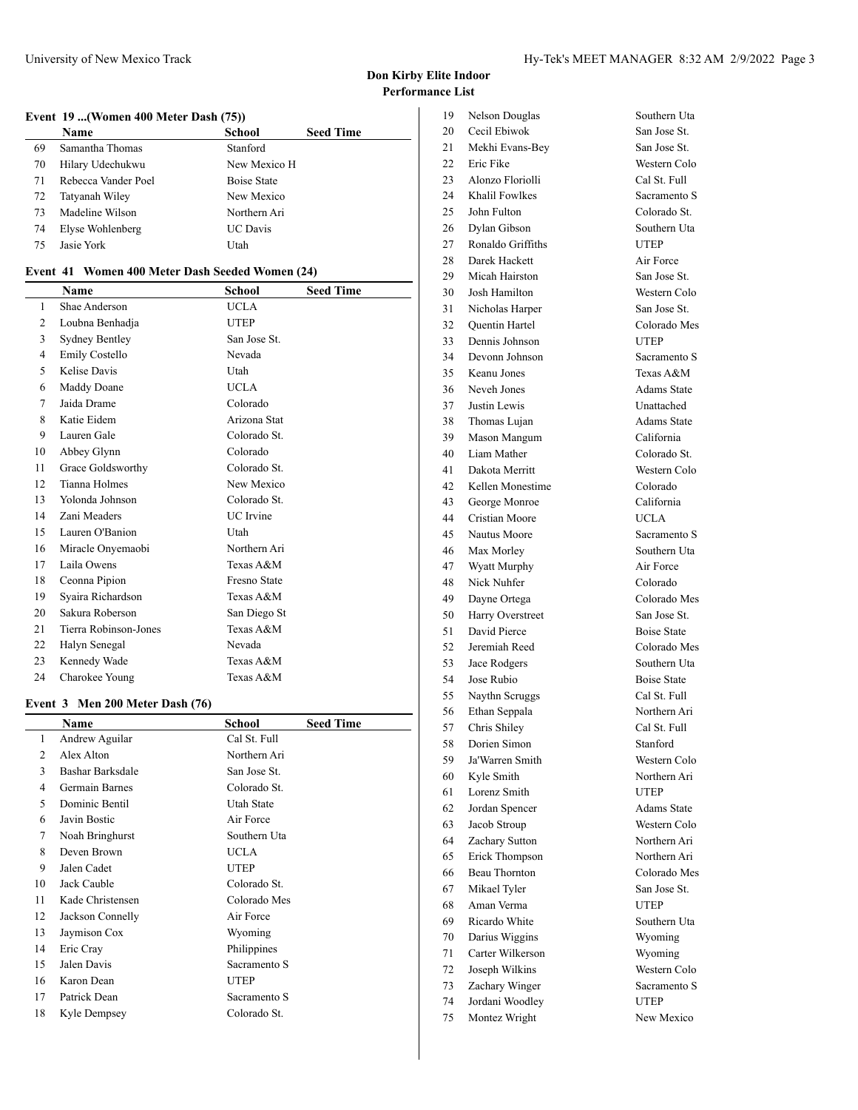#### **Event 19 ...(Women 400 Meter Dash (75))**

|    | <b>Name</b>         | School             | <b>Seed Time</b> |
|----|---------------------|--------------------|------------------|
| 69 | Samantha Thomas     | Stanford           |                  |
| 70 | Hilary Udechukwu    | New Mexico H       |                  |
| 71 | Rebecca Vander Poel | <b>Boise State</b> |                  |
| 72 | Tatyanah Wiley      | New Mexico         |                  |
| 73 | Madeline Wilson     | Northern Ari       |                  |
| 74 | Elyse Wohlenberg    | <b>UC</b> Davis    |                  |
| 75 | Jasie York          | Utah               |                  |

#### **Event 41 Women 400 Meter Dash Seeded Women (24)**

|    | Name                  | School           | <b>Seed Time</b> |
|----|-----------------------|------------------|------------------|
| 1  | Shae Anderson         | UCLA             |                  |
| 2  | Loubna Benhadja       | <b>UTEP</b>      |                  |
| 3  | Sydney Bentley        | San Jose St.     |                  |
| 4  | Emily Costello        | Nevada           |                  |
| 5  | <b>Kelise Davis</b>   | Utah             |                  |
| 6  | Maddy Doane           | <b>UCLA</b>      |                  |
| 7  | Jaida Drame           | Colorado         |                  |
| 8  | Katie Eidem           | Arizona Stat     |                  |
| 9  | Lauren Gale           | Colorado St.     |                  |
| 10 | Abbey Glynn           | Colorado         |                  |
| 11 | Grace Goldsworthy     | Colorado St.     |                  |
| 12 | <b>Tianna Holmes</b>  | New Mexico       |                  |
| 13 | Yolonda Johnson       | Colorado St.     |                  |
| 14 | Zani Meaders          | <b>UC</b> Irvine |                  |
| 15 | Lauren O'Banion       | Utah             |                  |
| 16 | Miracle Onyemaobi     | Northern Ari     |                  |
| 17 | Laila Owens           | Texas A&M        |                  |
| 18 | Ceonna Pipion         | Fresno State     |                  |
| 19 | Syaira Richardson     | Texas A&M        |                  |
| 20 | Sakura Roberson       | San Diego St     |                  |
| 21 | Tierra Robinson-Jones | Texas A&M        |                  |
| 22 | Halyn Senegal         | Nevada           |                  |
| 23 | Kennedy Wade          | Texas A&M        |                  |
| 24 | Charokee Young        | Texas A&M        |                  |

#### **Event 3 Men 200 Meter Dash (76)**

|    | Name             | <b>School</b> | <b>Seed Time</b> |
|----|------------------|---------------|------------------|
| 1  | Andrew Aguilar   | Cal St. Full  |                  |
| 2  | Alex Alton       | Northern Ari  |                  |
| 3  | Bashar Barksdale | San Jose St.  |                  |
| 4  | Germain Barnes   | Colorado St.  |                  |
| 5  | Dominic Bentil   | Utah State    |                  |
| 6  | Javin Bostic     | Air Force     |                  |
| 7  | Noah Bringhurst  | Southern Uta  |                  |
| 8  | Deven Brown      | <b>UCLA</b>   |                  |
| 9  | Jalen Cadet      | <b>UTEP</b>   |                  |
| 10 | Jack Cauble      | Colorado St.  |                  |
| 11 | Kade Christensen | Colorado Mes  |                  |
| 12 | Jackson Connelly | Air Force     |                  |
| 13 | Jaymison Cox     | Wyoming       |                  |
| 14 | Eric Cray        | Philippines   |                  |
| 15 | Jalen Davis      | Sacramento S  |                  |
| 16 | Karon Dean       | <b>UTEP</b>   |                  |
| 17 | Patrick Dean     | Sacramento S  |                  |
| 18 | Kyle Dempsey     | Colorado St.  |                  |
|    |                  |               |                  |

| 19       | Nelson Douglas                   |
|----------|----------------------------------|
| 20       | Cecil Ebiwok                     |
| 21       | Mekhi Evans-Bey                  |
| 22       | Eric Fike                        |
| 23       | Alonzo Floriolli                 |
| 24       | Khalil Fowlkes                   |
| 25       | John Fulton                      |
| 26       | Dylan Gibson                     |
| 27       | Ronaldo Griffiths                |
| 28       | Darek Hackett                    |
| 29       | Micah Hairston                   |
| 30       | Josh Hamilton                    |
| 31       | Nicholas Harper                  |
| 32       | Quentin Hartel                   |
| 33       | Dennis Johnson                   |
| 34       | Devonn Johnson                   |
| 35       | Keanu Jones                      |
| 36       | Neveh Jones                      |
| 37       | Justin Lewis                     |
| 38       | Thomas Lujan                     |
| 39       | Mason Mangum                     |
| 40       | Liam Mather                      |
| 41       | Dakota Merritt                   |
| 42       | Kellen Monestime                 |
| 43       | George Monroe                    |
| 44       | <b>Cristian Moore</b>            |
| 45       | Nautus Moore                     |
| 46       | Max Morley                       |
| 47       | Wyatt Murphy                     |
| 48       | Nick Nuhfer                      |
| 49<br>50 | Dayne Ortega                     |
| 51       | Harry Overstreet<br>David Pierce |
| 52       | Jeremiah Reed                    |
| 53       | Jace Rodgers                     |
| 54       | Jose Rubio                       |
| 55       | Naythn Scruggs                   |
| 56       | Ethan Seppala                    |
| 57       | Chris Shiley                     |
| 58       | Dorien Simon                     |
| 59       | Ja'Warren Smith                  |
| 60       | Kyle Smith                       |
| 61       | Lorenz Smith                     |
| 62       | Jordan Spencer                   |
| 63       | Jacob Stroup                     |
| 64       | Zachary Sutton                   |
| 65       | Erick Thompson                   |
| 66       | Beau Thornton                    |
| 67       | Mikael Tyler                     |
| 68       | Aman Verma                       |
| 69       | Ricardo White                    |
| 70       | Darius Wiggins                   |
| 71       | Carter Wilkerson                 |
| 72       | Joseph Wilkins                   |
| 73       | Zachary Winger                   |
| 74       | Jordani Woodley                  |
| 75       | Montez Wright                    |

Southern Uta San Jose St. San Jose St. Western Colo Cal St. Full Sacramento S Colorado St. Southern Uta UTEP Air Force San Jose St. Western Colo San Jose St. Colorado Mes UTEP Sacramento S Texas A&M Adams State Unattached Adams State California Colorado St. Western Colo Colorado California UCLA Sacramento S Southern Uta Air Force Colorado Colorado Mes San Jose St. Boise State Colorado Mes Southern Uta Boise State Cal St. Full Northern Ari Cal St. Full Stanford Western Colo Northern Ari UTEP Adams State Western Colo Northern Ari Northern Ari Colorado Mes San Jose St. UTEP Southern Uta Wyoming Wyoming Western Colo Sacramento S UTEP New Mexico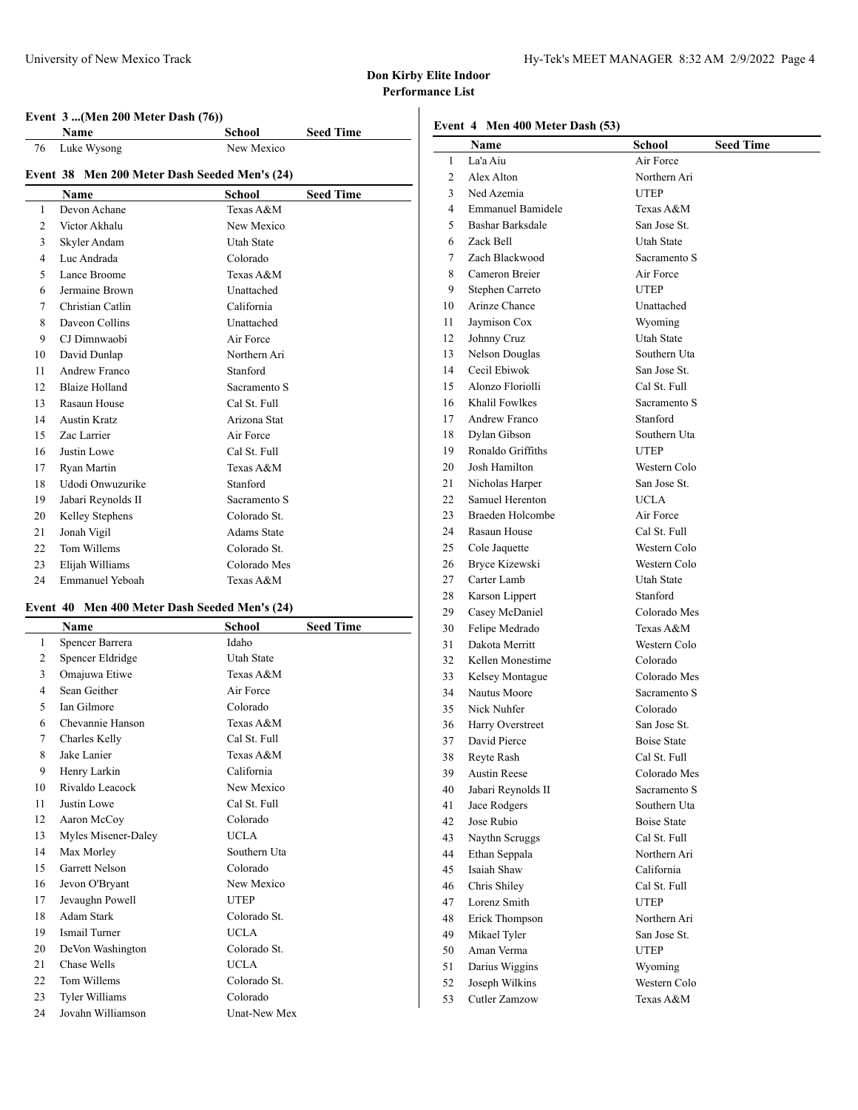## **Event 3 ...(Men 200 Meter Dash (76))**

|                 | Name                                          | School             | <b>Seed Time</b> |
|-----------------|-----------------------------------------------|--------------------|------------------|
| 76              | Luke Wysong                                   | New Mexico         |                  |
|                 | Event 38 Men 200 Meter Dash Seeded Men's (24) |                    |                  |
|                 | Name                                          | <b>School</b>      | <b>Seed Time</b> |
| 1               | Devon Achane                                  | Texas A&M          |                  |
| 2               | Victor Akhalu                                 | New Mexico         |                  |
| 3               | Skyler Andam                                  | <b>Utah State</b>  |                  |
| $\overline{4}$  | Luc Andrada                                   | Colorado           |                  |
| 5               | Lance Broome                                  | Texas A&M          |                  |
| 6               | Jermaine Brown                                | Unattached         |                  |
| 7               | Christian Catlin                              | California         |                  |
| 8               | Daveon Collins                                | Unattached         |                  |
| 9               | CJ Dimnwaobi                                  | Air Force          |                  |
| 10              | David Dunlap                                  | Northern Ari       |                  |
| 11              | Andrew Franco                                 | Stanford           |                  |
| 12 <sup>2</sup> | <b>Blaize Holland</b>                         | Sacramento S       |                  |
| 13              | Rasaun House                                  | Cal St. Full       |                  |
| 14              | <b>Austin Kratz</b>                           | Arizona Stat       |                  |
| 15              | Zac Larrier                                   | Air Force          |                  |
| 16              | Justin Lowe                                   | Cal St. Full       |                  |
| 17              | Ryan Martin                                   | Texas A&M          |                  |
| 18              | Udodi Onwuzurike                              | Stanford           |                  |
| 19              | Jabari Reynolds II                            | Sacramento S       |                  |
| 20              | Kelley Stephens                               | Colorado St.       |                  |
| 21              | Jonah Vigil                                   | <b>Adams State</b> |                  |
| 22              | Tom Willems                                   | Colorado St.       |                  |
| 23              | Elijah Williams                               | Colorado Mes       |                  |
| 24              | <b>Emmanuel Yeboah</b>                        | Texas A&M          |                  |

# **Event 40 Men 400 Meter Dash Seeded Men's (24)**

|    | <b>Name</b>           | School              | <b>Seed Time</b> |
|----|-----------------------|---------------------|------------------|
| 1  | Spencer Barrera       | Idaho               |                  |
| 2  | Spencer Eldridge      | <b>Utah State</b>   |                  |
| 3  | Omajuwa Etiwe         | Texas A&M           |                  |
| 4  | Sean Geither          | Air Force           |                  |
| 5  | <b>Ian Gilmore</b>    | Colorado            |                  |
| 6  | Chevannie Hanson      | Texas $A & M$       |                  |
| 7  | Charles Kelly         | Cal St. Full        |                  |
| 8  | Jake Lanier           | Texas A&M           |                  |
| 9  | Henry Larkin          | California          |                  |
| 10 | Rivaldo Leacock       | New Mexico          |                  |
| 11 | Justin Lowe           | Cal St. Full        |                  |
| 12 | Aaron McCoy           | Colorado            |                  |
| 13 | Myles Misener-Daley   | <b>UCLA</b>         |                  |
| 14 | Max Morley            | Southern Uta        |                  |
| 15 | <b>Garrett Nelson</b> | Colorado            |                  |
| 16 | Jevon O'Bryant        | New Mexico          |                  |
| 17 | Jevaughn Powell       | <b>UTEP</b>         |                  |
| 18 | Adam Stark            | Colorado St.        |                  |
| 19 | <b>Ismail Turner</b>  | <b>UCLA</b>         |                  |
| 20 | DeVon Washington      | Colorado St.        |                  |
| 21 | Chase Wells           | <b>UCLA</b>         |                  |
| 22 | Tom Willems           | Colorado St.        |                  |
| 23 | <b>Tyler Williams</b> | Colorado            |                  |
| 24 | Jovahn Williamson     | <b>Unat-New Mex</b> |                  |

|          | Event 4 Men 400 Meter Dash (53) |                                    |                  |
|----------|---------------------------------|------------------------------------|------------------|
|          | Name                            | School                             | <b>Seed Time</b> |
| 1        | La'a Aiu                        | Air Force                          |                  |
| 2        | Alex Alton                      | Northern Ari                       |                  |
| 3        | Ned Azemia                      | <b>UTEP</b>                        |                  |
| 4        | Emmanuel Bamidele               | Texas A&M                          |                  |
| 5        | Bashar Barksdale                | San Jose St.                       |                  |
| 6        | Zack Bell                       | Utah State                         |                  |
| 7        | Zach Blackwood                  | Sacramento S                       |                  |
| 8        | Cameron Breier                  | Air Force                          |                  |
| 9        | Stephen Carreto                 | <b>UTEP</b>                        |                  |
| 10       | Arinze Chance                   | Unattached                         |                  |
| 11       | Jaymison Cox                    | Wyoming                            |                  |
| 12       | Johnny Cruz                     | <b>Utah State</b>                  |                  |
| 13       | Nelson Douglas                  | Southern Uta                       |                  |
| 14       | Cecil Ebiwok                    | San Jose St.                       |                  |
| 15       | Alonzo Floriolli                | Cal St. Full                       |                  |
| 16       | Khalil Fowlkes                  | Sacramento S                       |                  |
| 17       | <b>Andrew Franco</b>            | Stanford                           |                  |
| 18       | Dylan Gibson                    | Southern Uta                       |                  |
| 19       | Ronaldo Griffiths               | UTEP                               |                  |
| 20       | Josh Hamilton                   | Western Colo                       |                  |
| 21       | Nicholas Harper                 | San Jose St.                       |                  |
| 22       | Samuel Herenton                 | <b>UCLA</b>                        |                  |
| 23       | Braeden Holcombe                | Air Force                          |                  |
| 24       | Rasaun House                    | Cal St. Full                       |                  |
| 25       | Cole Jaquette                   | Western Colo                       |                  |
| 26       | Bryce Kizewski                  | Western Colo                       |                  |
| 27       | Carter Lamb                     | Utah State                         |                  |
| 28       | Karson Lippert                  | Stanford                           |                  |
| 29       | Casey McDaniel                  | Colorado Mes                       |                  |
| 30       | Felipe Medrado                  | Texas A&M                          |                  |
| 31       | Dakota Merritt                  | Western Colo                       |                  |
| 32       | Kellen Monestime                | Colorado                           |                  |
| 33       | Kelsey Montague                 | Colorado Mes                       |                  |
| 34       | Nautus Moore                    | Sacramento S                       |                  |
| 35       | Nick Nuhfer                     | Colorado                           |                  |
| 36       | Harry Overstreet                | San Jose St.                       |                  |
| 37       | David Pierce                    | <b>Boise State</b>                 |                  |
| 38       | Reyte Rash                      | Cal St. Full                       |                  |
| 39       | <b>Austin Reese</b>             | Colorado Mes                       |                  |
| 40       | Jabari Reynolds II              | Sacramento S                       |                  |
| 41<br>42 | Jace Rodgers<br>Jose Rubio      | Southern Uta<br><b>Boise State</b> |                  |
|          |                                 |                                    |                  |
| 43<br>44 | Naythn Scruggs<br>Ethan Seppala | Cal St. Full<br>Northern Ari       |                  |
| 45       | Isaiah Shaw                     | California                         |                  |
| 46       | Chris Shiley                    | Cal St. Full                       |                  |
| 47       | Lorenz Smith                    | <b>UTEP</b>                        |                  |
| 48       | Erick Thompson                  | Northern Ari                       |                  |
| 49       | Mikael Tyler                    | San Jose St.                       |                  |
| 50       | Aman Verma                      | <b>UTEP</b>                        |                  |
| 51       | Darius Wiggins                  | Wyoming                            |                  |
| 52       | Joseph Wilkins                  | Western Colo                       |                  |
| 53       | Cutler Zamzow                   | Texas A&M                          |                  |
|          |                                 |                                    |                  |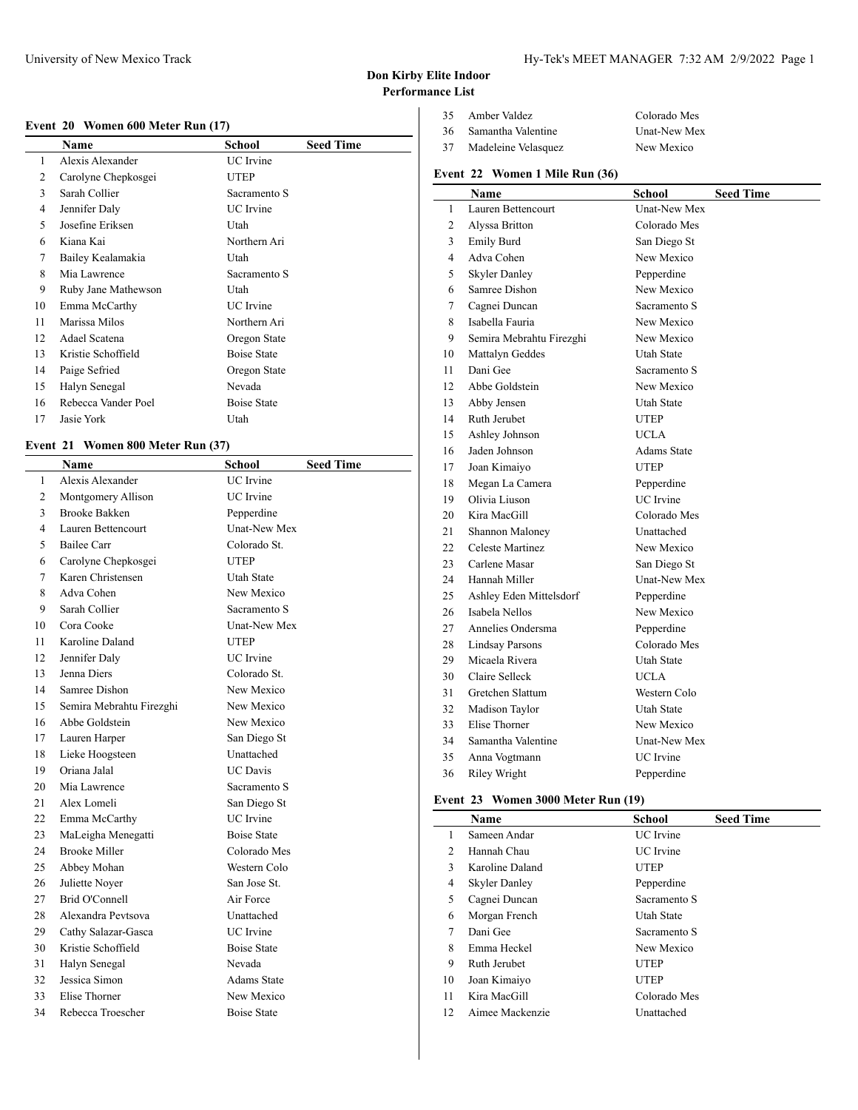# University of New Mexico Track Track Hy-Tek's MEET MANAGER 7:32 AM 2/9/2022 Page 1

## **Don Kirby Elite Indoor Performance List**

|  |  | Event 20 Women 600 Meter Run (17) |  |  |  |  |  |
|--|--|-----------------------------------|--|--|--|--|--|
|--|--|-----------------------------------|--|--|--|--|--|

|    | Name                | School             | <b>Seed Time</b> |
|----|---------------------|--------------------|------------------|
| 1  | Alexis Alexander    | <b>UC</b> Irvine   |                  |
| 2  | Carolyne Chepkosgei | <b>UTEP</b>        |                  |
| 3  | Sarah Collier       | Sacramento S       |                  |
| 4  | Jennifer Daly       | UC Irvine          |                  |
| 5  | Josefine Eriksen    | Utah               |                  |
| 6  | Kiana Kai           | Northern Ari       |                  |
| 7  | Bailey Kealamakia   | Utah               |                  |
| 8  | Mia Lawrence        | Sacramento S       |                  |
| 9  | Ruby Jane Mathewson | Utah               |                  |
| 10 | Emma McCarthy       | <b>UC</b> Irvine   |                  |
| 11 | Marissa Milos       | Northern Ari       |                  |
| 12 | Adael Scatena       | Oregon State       |                  |
| 13 | Kristie Schoffield  | <b>Boise State</b> |                  |
| 14 | Paige Sefried       | Oregon State       |                  |
| 15 | Halyn Senegal       | Nevada             |                  |
| 16 | Rebecca Vander Poel | <b>Boise State</b> |                  |
| 17 | Jasie York          | Utah               |                  |

## **Event 21 Women 800 Meter Run (37)**

|     | Name                     | <b>School</b>       | <b>Seed Time</b> |
|-----|--------------------------|---------------------|------------------|
| 1   | Alexis Alexander         | <b>UC</b> Irvine    |                  |
| 2   | Montgomery Allison       | <b>UC</b> Irvine    |                  |
| 3   | <b>Brooke Bakken</b>     | Pepperdine          |                  |
| 4   | Lauren Bettencourt       | <b>Unat-New Mex</b> |                  |
| 5   | Bailee Carr              | Colorado St.        |                  |
| 6   | Carolyne Chepkosgei      | <b>UTEP</b>         |                  |
| 7   | Karen Christensen        | Utah State          |                  |
| 8   | Adva Cohen               | New Mexico          |                  |
| 9   | Sarah Collier            | Sacramento S        |                  |
| 10  | Cora Cooke               | Unat-New Mex        |                  |
| 11  | Karoline Daland          | <b>UTEP</b>         |                  |
| 12. | Jennifer Daly            | <b>UC</b> Irvine    |                  |
| 13  | Jenna Diers              | Colorado St.        |                  |
| 14  | Samree Dishon            | New Mexico          |                  |
| 15  | Semira Mebrahtu Firezghi | New Mexico          |                  |
| 16  | Abbe Goldstein           | New Mexico          |                  |
| 17  | Lauren Harper            | San Diego St        |                  |
| 18  | Lieke Hoogsteen          | Unattached          |                  |
| 19  | Oriana Jalal             | <b>UC</b> Davis     |                  |
| 20  | Mia Lawrence             | Sacramento S        |                  |
| 21  | Alex Lomeli              | San Diego St        |                  |
| 22  | Emma McCarthy            | <b>UC</b> Irvine    |                  |
| 23  | MaLeigha Menegatti       | <b>Boise State</b>  |                  |
| 24  | <b>Brooke Miller</b>     | Colorado Mes        |                  |
| 25  | Abbey Mohan              | Western Colo        |                  |
| 26  | Juliette Noyer           | San Jose St.        |                  |
| 27  | Brid O'Connell           | Air Force           |                  |
| 28  | Alexandra Pevtsova       | Unattached          |                  |
| 29  | Cathy Salazar-Gasca      | <b>UC</b> Irvine    |                  |
| 30  | Kristie Schoffield       | <b>Boise State</b>  |                  |
| 31  | Halyn Senegal            | Nevada              |                  |
| 32  | Jessica Simon            | <b>Adams State</b>  |                  |
| 33  | Elise Thorner            | New Mexico          |                  |
| 34  | Rebecca Troescher        | <b>Boise State</b>  |                  |

| 35 | Amber Valdez        | Colorado Mes |
|----|---------------------|--------------|
| 36 | Samantha Valentine  | Unat-New Mex |
| 37 | Madeleine Velasquez | New Mexico   |

## **Event 22 Women 1 Mile Run (36)**

|                | <b>Name</b>              | <b>School</b>       | <b>Seed Time</b> |
|----------------|--------------------------|---------------------|------------------|
| 1              | Lauren Bettencourt       | <b>Unat-New Mex</b> |                  |
| 2              | Alyssa Britton           | Colorado Mes        |                  |
| 3              | Emily Burd               | San Diego St        |                  |
| $\overline{4}$ | Adva Cohen               | New Mexico          |                  |
| 5              | <b>Skyler Danley</b>     | Pepperdine          |                  |
| 6              | Samree Dishon            | New Mexico          |                  |
| 7              | Cagnei Duncan            | Sacramento S        |                  |
| 8              | Isabella Fauria          | New Mexico          |                  |
| 9              | Semira Mebrahtu Firezghi | New Mexico          |                  |
| 10             | Mattalyn Geddes          | <b>Utah State</b>   |                  |
| 11             | Dani Gee                 | Sacramento S        |                  |
| 12             | Abbe Goldstein           | New Mexico          |                  |
| 13             | Abby Jensen              | Utah State          |                  |
| 14             | Ruth Jerubet             | UTEP                |                  |
| 15             | Ashley Johnson           | <b>UCLA</b>         |                  |
| 16             | Jaden Johnson            | <b>Adams State</b>  |                  |
| 17             | Joan Kimaiyo             | <b>UTEP</b>         |                  |
| 18             | Megan La Camera          | Pepperdine          |                  |
| 19             | Olivia Liuson            | <b>UC</b> Irvine    |                  |
| 20             | Kira MacGill             | Colorado Mes        |                  |
| 21             | Shannon Maloney          | Unattached          |                  |
| 22             | Celeste Martinez         | New Mexico          |                  |
| 23             | Carlene Masar            | San Diego St        |                  |
| 24             | Hannah Miller            | <b>Unat-New Mex</b> |                  |
| 25             | Ashley Eden Mittelsdorf  | Pepperdine          |                  |
| 26             | Isabela Nellos           | New Mexico          |                  |
| 27             | Annelies Ondersma        | Pepperdine          |                  |
| 28             | <b>Lindsay Parsons</b>   | Colorado Mes        |                  |
| 29             | Micaela Rivera           | Utah State          |                  |
| 30             | Claire Selleck           | UCLA                |                  |
| 31             | Gretchen Slattum         | Western Colo        |                  |
| 32             | Madison Taylor           | Utah State          |                  |
| 33             | <b>Elise Thorner</b>     | New Mexico          |                  |
| 34             | Samantha Valentine       | <b>Unat-New Mex</b> |                  |
| 35             | Anna Vogtmann            | <b>UC</b> Irvine    |                  |
| 36             | Riley Wright             | Pepperdine          |                  |

# **Event 23 Women 3000 Meter Run (19)**

|                | Name                 | School           | <b>Seed Time</b> |
|----------------|----------------------|------------------|------------------|
| 1              | Sameen Andar         | <b>UC</b> Irvine |                  |
| $\mathfrak{D}$ | Hannah Chau          | <b>UC</b> Irvine |                  |
| 3              | Karoline Daland      | <b>UTEP</b>      |                  |
| 4              | <b>Skyler Danley</b> | Pepperdine       |                  |
| 5              | Cagnei Duncan        | Sacramento S     |                  |
| 6              | Morgan French        | Utah State       |                  |
| 7              | Dani Gee             | Sacramento S     |                  |
| 8              | Emma Heckel          | New Mexico       |                  |
| 9              | Ruth Jerubet         | <b>UTEP</b>      |                  |
| 10             | Joan Kimaiyo         | <b>UTEP</b>      |                  |
| 11             | Kira MacGill         | Colorado Mes     |                  |
| 12             | Aimee Mackenzie      | Unattached       |                  |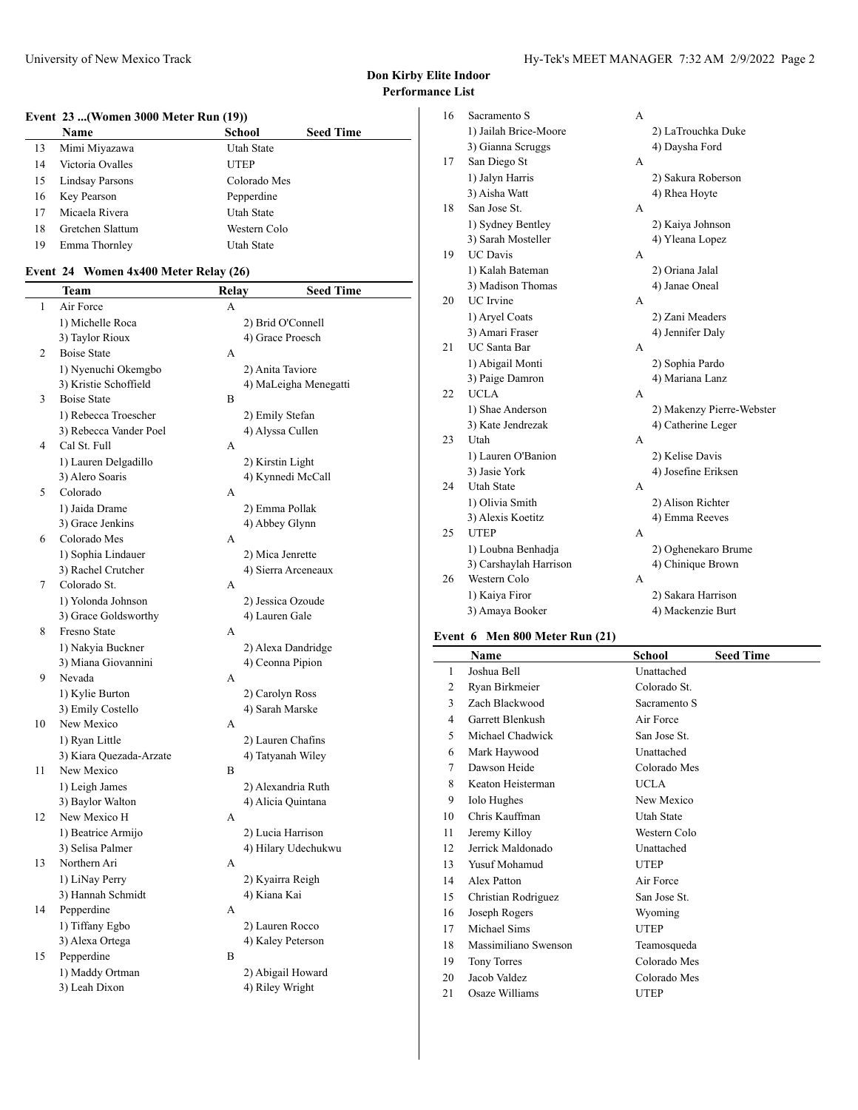# **Event 23 ...(Women 3000 Meter Run (19))**

|    | Name                   | <b>School</b> | <b>Seed Time</b> |
|----|------------------------|---------------|------------------|
| 13 | Mimi Miyazawa          | Utah State    |                  |
| 14 | Victoria Ovalles       | UTEP          |                  |
| 15 | <b>Lindsay Parsons</b> | Colorado Mes  |                  |
| 16 | Key Pearson            | Pepperdine    |                  |
| 17 | Micaela Rivera         | Utah State    |                  |
| 18 | Gretchen Slattum       | Western Colo  |                  |
| 19 | Emma Thornley          | Utah State    |                  |

## **Event 24 Women 4x400 Meter Relay (26)**

 $\overline{a}$ 

|                | Team                    | Relay | <b>Seed Time</b>      |
|----------------|-------------------------|-------|-----------------------|
| $\mathbf{1}$   | Air Force               | A     |                       |
|                | 1) Michelle Roca        |       | 2) Brid O'Connell     |
|                | 3) Taylor Rioux         |       | 4) Grace Proesch      |
| 2              | <b>Boise State</b>      | А     |                       |
|                | 1) Nyenuchi Okemgbo     |       | 2) Anita Taviore      |
|                | 3) Kristie Schoffield   |       | 4) MaLeigha Menegatti |
| 3              | <b>Boise State</b>      | B     |                       |
|                | 1) Rebecca Troescher    |       | 2) Emily Stefan       |
|                | 3) Rebecca Vander Poel  |       | 4) Alyssa Cullen      |
| $\overline{4}$ | Cal St. Full            | А     |                       |
|                | 1) Lauren Delgadillo    |       | 2) Kirstin Light      |
|                | 3) Alero Soaris         |       | 4) Kynnedi McCall     |
| 5              | Colorado                | А     |                       |
|                | 1) Jaida Drame          |       | 2) Emma Pollak        |
|                | 3) Grace Jenkins        |       | 4) Abbey Glynn        |
| 6              | Colorado Mes            | А     |                       |
|                | 1) Sophia Lindauer      |       | 2) Mica Jenrette      |
|                | 3) Rachel Crutcher      |       | 4) Sierra Arceneaux   |
| 7              | Colorado St.            | А     |                       |
|                | 1) Yolonda Johnson      |       | 2) Jessica Ozoude     |
|                | 3) Grace Goldsworthy    |       | 4) Lauren Gale        |
| 8              | Fresno State            | А     |                       |
|                | 1) Nakyia Buckner       |       | 2) Alexa Dandridge    |
|                | 3) Miana Giovannini     |       | 4) Ceonna Pipion      |
| 9              | Nevada                  | А     |                       |
|                | 1) Kylie Burton         |       | 2) Carolyn Ross       |
|                | 3) Emily Costello       |       | 4) Sarah Marske       |
| 10             | New Mexico              | A     |                       |
|                | 1) Ryan Little          |       | 2) Lauren Chafins     |
|                | 3) Kiara Quezada-Arzate |       | 4) Tatyanah Wiley     |
| 11             | New Mexico              | B     |                       |
|                | 1) Leigh James          |       | 2) Alexandria Ruth    |
|                | 3) Baylor Walton        |       | 4) Alicia Quintana    |
| 12             | New Mexico H            | А     |                       |
|                | 1) Beatrice Armijo      |       | 2) Lucia Harrison     |
|                | 3) Selisa Palmer        |       | 4) Hilary Udechukwu   |
| 13             | Northern Ari            | A     |                       |
|                | 1) LiNay Perry          |       | 2) Kyairra Reigh      |
|                | 3) Hannah Schmidt       |       | 4) Kiana Kai          |
| 14             | Pepperdine              | А     |                       |
|                | 1) Tiffany Egbo         |       | 2) Lauren Rocco       |
|                | 3) Alexa Ortega         |       | 4) Kaley Peterson     |
| 15             | Pepperdine              | B     |                       |
|                | 1) Maddy Ortman         |       | 2) Abigail Howard     |
|                | 3) Leah Dixon           |       | 4) Riley Wright       |

| 16 | Sacramento S           | А |                           |
|----|------------------------|---|---------------------------|
|    | 1) Jailah Brice-Moore  |   | 2) LaTrouchka Duke        |
|    | 3) Gianna Scruggs      |   | 4) Daysha Ford            |
| 17 | San Diego St           | А |                           |
|    | 1) Jalyn Harris        |   | 2) Sakura Roberson        |
|    | 3) Aisha Watt          |   | 4) Rhea Hoyte             |
| 18 | San Jose St.           | A |                           |
|    | 1) Sydney Bentley      |   | 2) Kaiya Johnson          |
|    | 3) Sarah Mosteller     |   | 4) Yleana Lopez           |
| 19 | <b>UC</b> Davis        | А |                           |
|    | 1) Kalah Bateman       |   | 2) Oriana Jalal           |
|    | 3) Madison Thomas      |   | 4) Janae Oneal            |
| 20 | <b>UC</b> Irvine       | A |                           |
|    | 1) Aryel Coats         |   | 2) Zani Meaders           |
|    | 3) Amari Fraser        |   | 4) Jennifer Daly          |
| 21 | <b>UC</b> Santa Bar    | A |                           |
|    | 1) Abigail Monti       |   | 2) Sophia Pardo           |
|    | 3) Paige Damron        |   | 4) Mariana Lanz           |
| 22 | <b>UCLA</b>            | A |                           |
|    | 1) Shae Anderson       |   | 2) Makenzy Pierre-Webster |
|    | 3) Kate Jendrezak      |   | 4) Catherine Leger        |
| 23 | Utah                   | A |                           |
|    | 1) Lauren O'Banion     |   | 2) Kelise Davis           |
|    | 3) Jasie York          |   | 4) Josefine Eriksen       |
| 24 | <b>Utah State</b>      | A |                           |
|    | 1) Olivia Smith        |   | 2) Alison Richter         |
|    | 3) Alexis Koetitz      |   | 4) Emma Reeves            |
| 25 | <b>UTEP</b>            | A |                           |
|    | 1) Loubna Benhadja     |   | 2) Oghenekaro Brume       |
|    | 3) Carshaylah Harrison |   | 4) Chinique Brown         |
| 26 | Western Colo           | А |                           |
|    | 1) Kaiya Firor         |   | 2) Sakara Harrison        |
|    | 3) Amaya Booker        |   | 4) Mackenzie Burt         |
|    |                        |   |                           |

## **Event 6 Men 800 Meter Run (21)**

|    | <b>Name</b>          | School       | <b>Seed Time</b> |
|----|----------------------|--------------|------------------|
| 1  | Joshua Bell          | Unattached   |                  |
| 2  | Ryan Birkmeier       | Colorado St. |                  |
| 3  | Zach Blackwood       | Sacramento S |                  |
| 4  | Garrett Blenkush     | Air Force    |                  |
| 5  | Michael Chadwick     | San Jose St. |                  |
| 6  | Mark Haywood         | Unattached   |                  |
| 7  | Dawson Heide         | Colorado Mes |                  |
| 8  | Keaton Heisterman    | <b>UCLA</b>  |                  |
| 9  | <b>Iolo Hughes</b>   | New Mexico   |                  |
| 10 | Chris Kauffman       | Utah State   |                  |
| 11 | Jeremy Killoy        | Western Colo |                  |
| 12 | Jerrick Maldonado    | Unattached   |                  |
| 13 | Yusuf Mohamud        | <b>UTEP</b>  |                  |
| 14 | <b>Alex Patton</b>   | Air Force    |                  |
| 15 | Christian Rodriguez  | San Jose St. |                  |
| 16 | Joseph Rogers        | Wyoming      |                  |
| 17 | Michael Sims         | <b>UTEP</b>  |                  |
| 18 | Massimiliano Swenson | Teamosqueda  |                  |
| 19 | <b>Tony Torres</b>   | Colorado Mes |                  |
| 20 | Jacob Valdez         | Colorado Mes |                  |
| 21 | Osaze Williams       | <b>UTEP</b>  |                  |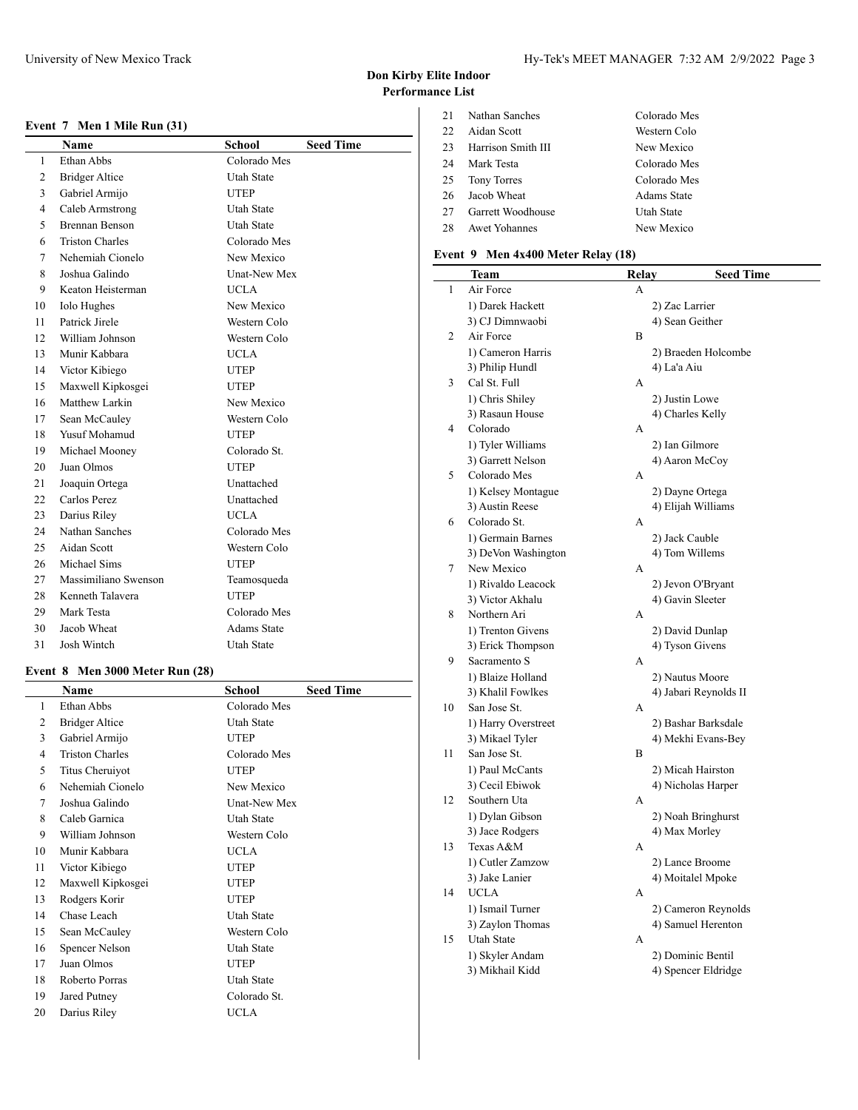#### **Event 7 Men 1 Mile Run (31)**

|                | Name                   | <b>School</b>       | <b>Seed Time</b> |
|----------------|------------------------|---------------------|------------------|
| 1              | Ethan Abbs             | Colorado Mes        |                  |
| $\overline{c}$ | <b>Bridger Altice</b>  | <b>Utah State</b>   |                  |
| 3              | Gabriel Armijo         | <b>UTEP</b>         |                  |
| 4              | Caleb Armstrong        | <b>Utah State</b>   |                  |
| 5              | <b>Brennan Benson</b>  | <b>Utah State</b>   |                  |
| 6              | <b>Triston Charles</b> | Colorado Mes        |                  |
| 7              | Nehemiah Cionelo       | New Mexico          |                  |
| 8              | Joshua Galindo         | <b>Unat-New Mex</b> |                  |
| 9              | Keaton Heisterman      | <b>UCLA</b>         |                  |
| 10             | <b>Iolo Hughes</b>     | New Mexico          |                  |
| 11             | Patrick Jirele         | Western Colo        |                  |
| 12             | William Johnson        | Western Colo        |                  |
| 13             | Munir Kabbara          | <b>UCLA</b>         |                  |
| 14             | Victor Kibiego         | <b>UTEP</b>         |                  |
| 15             | Maxwell Kipkosgei      | <b>UTEP</b>         |                  |
| 16             | Matthew Larkin         | New Mexico          |                  |
| 17             | Sean McCauley          | Western Colo        |                  |
| 18             | Yusuf Mohamud          | <b>UTEP</b>         |                  |
| 19             | Michael Mooney         | Colorado St.        |                  |
| 20             | Juan Olmos             | <b>UTEP</b>         |                  |
| 21             | Joaquin Ortega         | Unattached          |                  |
| 22             | Carlos Perez           | Unattached          |                  |
| 23             | Darius Riley           | <b>UCLA</b>         |                  |
| 24             | Nathan Sanches         | Colorado Mes        |                  |
| 25             | Aidan Scott            | Western Colo        |                  |
| 26             | Michael Sims           | <b>UTEP</b>         |                  |
| 27             | Massimiliano Swenson   | Teamosqueda         |                  |
| 28             | Kenneth Talavera       | <b>UTEP</b>         |                  |
| 29             | Mark Testa             | Colorado Mes        |                  |
| 30             | Jacob Wheat            | <b>Adams State</b>  |                  |
| 31             | Josh Wintch            | Utah State          |                  |

## **Event 8 Men 3000 Meter Run (28)**

| Name                   | School              | <b>Seed Time</b> |
|------------------------|---------------------|------------------|
| Ethan Abbs             | Colorado Mes        |                  |
| <b>Bridger Altice</b>  | Utah State          |                  |
| Gabriel Armijo         | <b>UTEP</b>         |                  |
| <b>Triston Charles</b> | Colorado Mes        |                  |
| Titus Cheruiyot        | <b>UTEP</b>         |                  |
| Nehemiah Cionelo       | New Mexico          |                  |
| Joshua Galindo         | <b>Unat-New Mex</b> |                  |
| Caleb Garnica          | Utah State          |                  |
| William Johnson        | Western Colo        |                  |
| Munir Kabbara          | <b>UCLA</b>         |                  |
| Victor Kibiego         | UTEP                |                  |
| Maxwell Kipkosgei      | <b>UTEP</b>         |                  |
| Rodgers Korir          | <b>UTEP</b>         |                  |
| Chase Leach            | Utah State          |                  |
| Sean McCauley          | Western Colo        |                  |
| <b>Spencer Nelson</b>  | Utah State          |                  |
| Juan Olmos             | <b>UTEP</b>         |                  |
| Roberto Porras         | Utah State          |                  |
| Jared Putney           | Colorado St.        |                  |
| Darius Riley           | UCLA                |                  |
|                        |                     |                  |

## **Don Kirby Elite Indoor Performance List**

| 21 | Nathan Sanches     | Colorado Mes |
|----|--------------------|--------------|
| 22 | Aidan Scott        | Western Colo |
| 23 | Harrison Smith III | New Mexico   |
| 24 | Mark Testa         | Colorado Mes |
| 25 | <b>Tony Torres</b> | Colorado Mes |
| 26 | Jacob Wheat        | Adams State  |
| 27 | Garrett Woodhouse  | Utah State   |
| 28 | Awet Yohannes      | New Mexico   |

# **Event 9 Men 4x400 Meter Relay (18)**

|                | Team                | Relay | <b>Seed Time</b>      |
|----------------|---------------------|-------|-----------------------|
| $\mathbf{1}$   | Air Force           | A     |                       |
|                | 1) Darek Hackett    |       | 2) Zac Larrier        |
|                | 3) CJ Dimnwaobi     |       | 4) Sean Geither       |
| 2              | Air Force           | B     |                       |
|                | 1) Cameron Harris   |       | 2) Braeden Holcombe   |
|                | 3) Philip Hundl     |       | 4) La'a Aiu           |
| 3              | Cal St. Full        | А     |                       |
|                | 1) Chris Shiley     |       | 2) Justin Lowe        |
|                | 3) Rasaun House     |       | 4) Charles Kelly      |
| $\overline{4}$ | Colorado            | А     |                       |
|                | 1) Tyler Williams   |       | 2) Ian Gilmore        |
|                | 3) Garrett Nelson   |       | 4) Aaron McCoy        |
| 5              | Colorado Mes        | А     |                       |
|                | 1) Kelsey Montague  |       | 2) Dayne Ortega       |
|                | 3) Austin Reese     |       | 4) Elijah Williams    |
| 6              | Colorado St.        | А     |                       |
|                | 1) Germain Barnes   |       | 2) Jack Cauble        |
|                | 3) DeVon Washington |       | 4) Tom Willems        |
| 7              | New Mexico          | А     |                       |
|                | 1) Rivaldo Leacock  |       | 2) Jevon O'Bryant     |
|                | 3) Victor Akhalu    |       | 4) Gavin Sleeter      |
| 8              | Northern Ari        | А     |                       |
|                | 1) Trenton Givens   |       | 2) David Dunlap       |
|                | 3) Erick Thompson   |       | 4) Tyson Givens       |
| 9              | Sacramento S        | A     |                       |
|                | 1) Blaize Holland   |       | 2) Nautus Moore       |
|                | 3) Khalil Fowlkes   |       | 4) Jabari Reynolds II |
| 10             | San Jose St.        | А     |                       |
|                | 1) Harry Overstreet |       | 2) Bashar Barksdale   |
|                | 3) Mikael Tyler     |       | 4) Mekhi Evans-Bey    |
| 11             | San Jose St.        | B     |                       |
|                | 1) Paul McCants     |       | 2) Micah Hairston     |
|                | 3) Cecil Ebiwok     |       | 4) Nicholas Harper    |
| 12             | Southern Uta        | A     |                       |
|                | 1) Dylan Gibson     |       | 2) Noah Bringhurst    |
|                | 3) Jace Rodgers     |       | 4) Max Morley         |
| 13             | Texas A&M           | А     |                       |
|                | 1) Cutler Zamzow    |       | 2) Lance Broome       |
|                | 3) Jake Lanier      |       | 4) Moitalel Mpoke     |
| 14             | <b>UCLA</b>         | A     |                       |
|                | 1) Ismail Turner    |       | 2) Cameron Reynolds   |
|                | 3) Zaylon Thomas    |       | 4) Samuel Herenton    |
| 15             | Utah State          | А     |                       |
|                | 1) Skyler Andam     |       | 2) Dominic Bentil     |
|                | 3) Mikhail Kidd     |       | 4) Spencer Eldridge   |